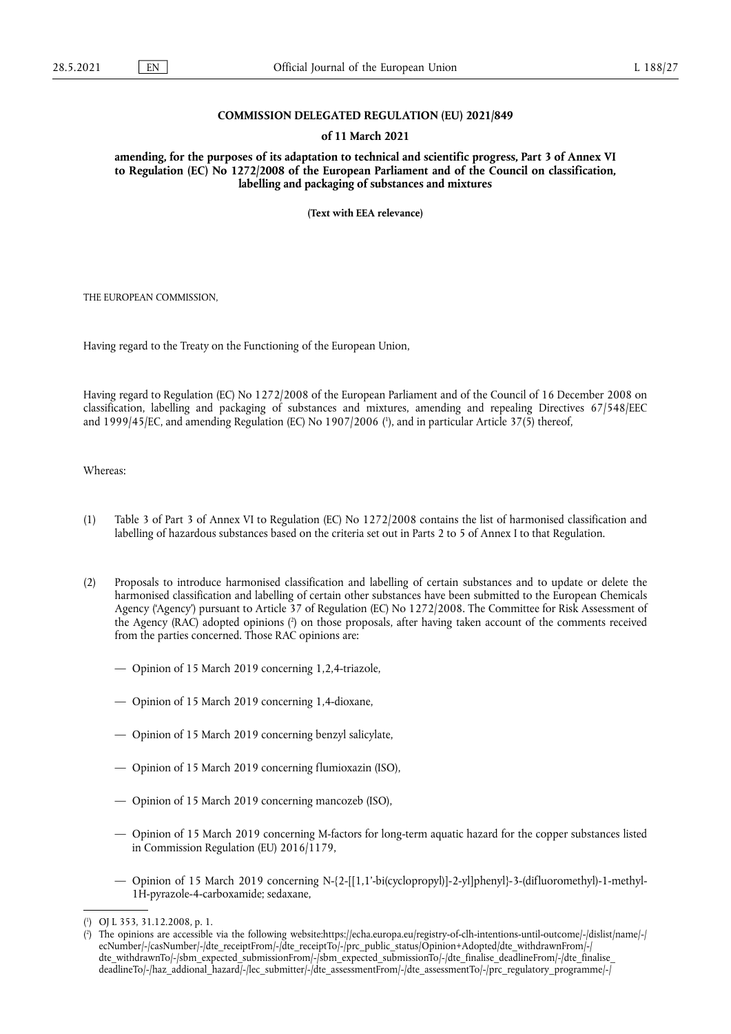### **COMMISSION DELEGATED REGULATION (EU) 2021/849**

### **of 11 March 2021**

**amending, for the purposes of its adaptation to technical and scientific progress, Part 3 of Annex VI to Regulation (EC) No 1272/2008 of the European Parliament and of the Council on classification, labelling and packaging of substances and mixtures** 

**(Text with EEA relevance)** 

THE EUROPEAN COMMISSION,

Having regard to the Treaty on the Functioning of the European Union,

<span id="page-0-2"></span>Having regard to Regulation (EC) No 1272/2008 of the European Parliament and of the Council of 16 December 2008 on classification, labelling and packaging of substances and mixtures, amending and repealing Directives 67/548/EEC and 1999/45/EC, and amending Regulation (EC) No 1907/2006 ( 1 [\),](#page-0-0) and in particular Article 37(5) thereof,

Whereas:

- (1) Table 3 of Part 3 of Annex VI to Regulation (EC) No 1272/2008 contains the list of harmonised classification and labelling of hazardous substances based on the criteria set out in Parts 2 to 5 of Annex I to that Regulation.
- <span id="page-0-3"></span>(2) Proposals to introduce harmonised classification and labelling of certain substances and to update or delete the harmonised classification and labelling of certain other substances have been submitted to the European Chemicals Agency ('Agency') pursuant to Article 37 of Regulation (EC) No 1272/2008. The Committee for Risk Assessment of the Agency (RAC) adopted opinions [\(](#page-0-1) 2 ) on those proposals, after having taken account of the comments received from the parties concerned. Those RAC opinions are:
	- Opinion of 15 March 2019 concerning 1,2,4-triazole,
	- Opinion of 15 March 2019 concerning 1,4-dioxane,
	- Opinion of 15 March 2019 concerning benzyl salicylate,
	- Opinion of 15 March 2019 concerning flumioxazin (ISO),
	- Opinion of 15 March 2019 concerning mancozeb (ISO),
	- Opinion of 15 March 2019 concerning M-factors for long-term aquatic hazard for the copper substances listed in Commission Regulation (EU) 2016/1179,
	- Opinion of 15 March 2019 concerning N-{2-[[1,1'-bi(cyclopropyl)]-2-yl]phenyl}-3-(difluoromethyl)-1-methyl-1H-pyrazole-4-carboxamide; sedaxane,

<span id="page-0-0"></span>[<sup>\(</sup>](#page-0-2) 1 ) OJ L 353, 31.12.2008, p. 1.

<span id="page-0-1"></span> $($ <sup>2</sup> ) The opinions are accessible via the following website[:https://echa.europa.eu/registry-of-clh-intentions-until-outcome/-/dislist/name/-/](https://echa.europa.eu/registry-of-clh-intentions-until-outcome/-/dislist/name/-/ecNumber/-/casNumber/-/dte_receiptFrom/-/dte_receiptTo/-/prc_public_status/Opinion+Adopted/dte_withdrawnFrom/-/dte_withdrawnTo/-/sbm_expected_submissionFrom/-/sbm_expected_submissionTo/-/dte_finalise_deadlineFrom/-/dte_finalise_deadlineTo/-/haz_addional_hazard/-/lec_submitter/-/dte_assessmentFrom/-/dte_assessmentTo/-/prc_regulatory_programme/-/) [ecNumber/-/casNumber/-/dte\\_receiptFrom/-/dte\\_receiptTo/-/prc\\_public\\_status/Opinion+Adopted/dte\\_withdrawnFrom/-/](https://echa.europa.eu/registry-of-clh-intentions-until-outcome/-/dislist/name/-/ecNumber/-/casNumber/-/dte_receiptFrom/-/dte_receiptTo/-/prc_public_status/Opinion+Adopted/dte_withdrawnFrom/-/dte_withdrawnTo/-/sbm_expected_submissionFrom/-/sbm_expected_submissionTo/-/dte_finalise_deadlineFrom/-/dte_finalise_deadlineTo/-/haz_addional_hazard/-/lec_submitter/-/dte_assessmentFrom/-/dte_assessmentTo/-/prc_regulatory_programme/-/)  dte\_withdrawnTo/-/sbm\_expected\_submissionFrom/-/sbm\_expected\_submissionTo/-/dte\_finalise\_deadlineFrom/-/dte\_finalise [deadlineTo/-/haz\\_addional\\_hazard/-/lec\\_submitter/-/dte\\_assessmentFrom/-/dte\\_assessmentTo/-/prc\\_regulatory\\_programme/-/](https://echa.europa.eu/registry-of-clh-intentions-until-outcome/-/dislist/name/-/ecNumber/-/casNumber/-/dte_receiptFrom/-/dte_receiptTo/-/prc_public_status/Opinion+Adopted/dte_withdrawnFrom/-/dte_withdrawnTo/-/sbm_expected_submissionFrom/-/sbm_expected_submissionTo/-/dte_finalise_deadlineFrom/-/dte_finalise_deadlineTo/-/haz_addional_hazard/-/lec_submitter/-/dte_assessmentFrom/-/dte_assessmentTo/-/prc_regulatory_programme/-/)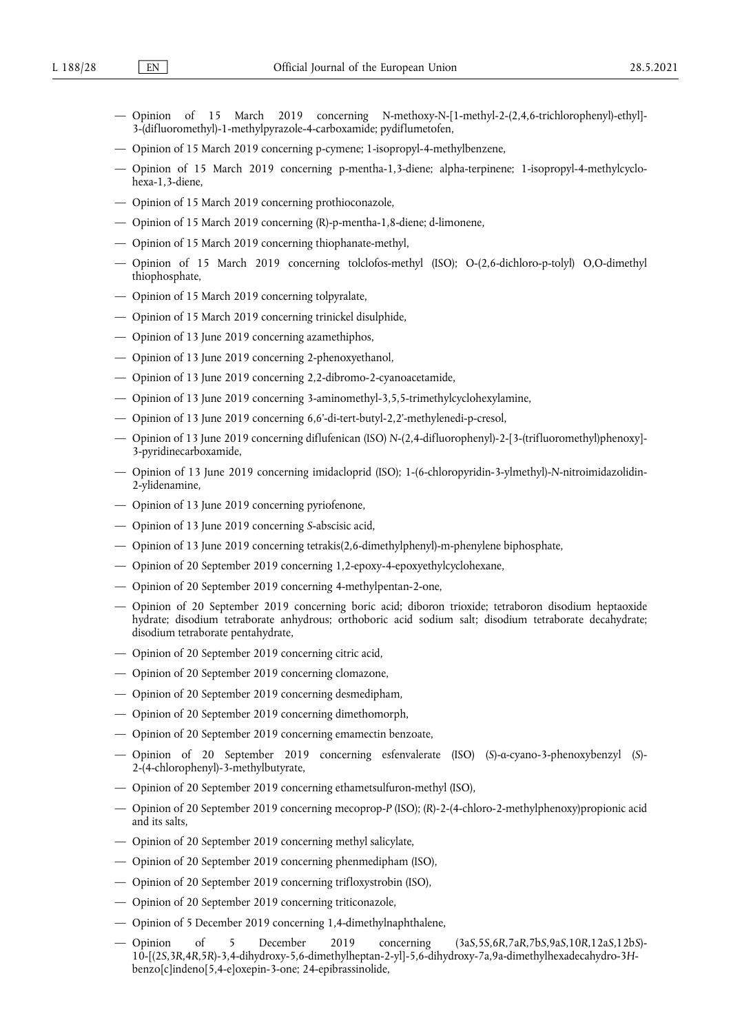- Opinion of 15 March 2019 concerning N-methoxy-N-[1-methyl-2-(2,4,6-trichlorophenyl)-ethyl]- 3-(difluoromethyl)-1-methylpyrazole-4-carboxamide; pydiflumetofen,
- Opinion of 15 March 2019 concerning p-cymene; 1-isopropyl-4-methylbenzene,
- Opinion of 15 March 2019 concerning p-mentha-1,3-diene; alpha-terpinene; 1-isopropyl-4-methylcyclohexa-1,3-diene,
- Opinion of 15 March 2019 concerning prothioconazole,
- Opinion of 15 March 2019 concerning (R)-p-mentha-1,8-diene; d-limonene,
- Opinion of 15 March 2019 concerning thiophanate-methyl,
- Opinion of 15 March 2019 concerning tolclofos-methyl (ISO); O-(2,6-dichloro-p-tolyl) O,O-dimethyl thiophosphate,
- Opinion of 15 March 2019 concerning tolpyralate,
- Opinion of 15 March 2019 concerning trinickel disulphide,
- Opinion of 13 June 2019 concerning azamethiphos,
- Opinion of 13 June 2019 concerning 2-phenoxyethanol,
- Opinion of 13 June 2019 concerning 2,2-dibromo-2-cyanoacetamide,
- Opinion of 13 June 2019 concerning 3-aminomethyl-3,5,5-trimethylcyclohexylamine,
- Opinion of 13 June 2019 concerning 6,6'-di-tert-butyl-2,2'-methylenedi-p-cresol,
- Opinion of 13 June 2019 concerning diflufenican (ISO) *N*-(2,4-difluorophenyl)-2-[3-(trifluoromethyl)phenoxy]- 3-pyridinecarboxamide,
- Opinion of 13 June 2019 concerning imidacloprid (ISO); 1-(6-chloropyridin-3-ylmethyl)-*N*-nitroimidazolidin-2-ylidenamine,
- Opinion of 13 June 2019 concerning pyriofenone,
- Opinion of 13 June 2019 concerning *S*-abscisic acid,
- Opinion of 13 June 2019 concerning tetrakis(2,6-dimethylphenyl)-m-phenylene biphosphate,
- Opinion of 20 September 2019 concerning 1,2-epoxy-4-epoxyethylcyclohexane,
- Opinion of 20 September 2019 concerning 4-methylpentan-2-one,
- Opinion of 20 September 2019 concerning boric acid; diboron trioxide; tetraboron disodium heptaoxide hydrate; disodium tetraborate anhydrous; orthoboric acid sodium salt; disodium tetraborate decahydrate; disodium tetraborate pentahydrate,
- Opinion of 20 September 2019 concerning citric acid,
- Opinion of 20 September 2019 concerning clomazone,
- Opinion of 20 September 2019 concerning desmedipham,
- Opinion of 20 September 2019 concerning dimethomorph,
- Opinion of 20 September 2019 concerning emamectin benzoate,
- Opinion of 20 September 2019 concerning esfenvalerate (ISO) (*S*)-α-cyano-3-phenoxybenzyl (*S*)- 2-(4-chlorophenyl)-3-methylbutyrate,
- Opinion of 20 September 2019 concerning ethametsulfuron-methyl (ISO),
- Opinion of 20 September 2019 concerning mecoprop-*P* (ISO); (*R*)-2-(4-chloro-2-methylphenoxy)propionic acid and its salts,
- Opinion of 20 September 2019 concerning methyl salicylate,
- Opinion of 20 September 2019 concerning phenmedipham (ISO),
- Opinion of 20 September 2019 concerning trifloxystrobin (ISO),
- Opinion of 20 September 2019 concerning triticonazole,
- Opinion of 5 December 2019 concerning 1,4-dimethylnaphthalene,
- Opinion of 5 December 2019 concerning (3a*S*,5*S*,6*R*,7a*R*,7b*S*,9a*S*,10*R*,12a*S*,12b*S*)- 10-[(2*S*,3*R*,4*R*,5*R*)-3,4-dihydroxy-5,6-dimethylheptan-2-yl]-5,6-dihydroxy-7a,9a-dimethylhexadecahydro-3*H*benzo[c]indeno[5,4-e]oxepin-3-one; 24-epibrassinolide,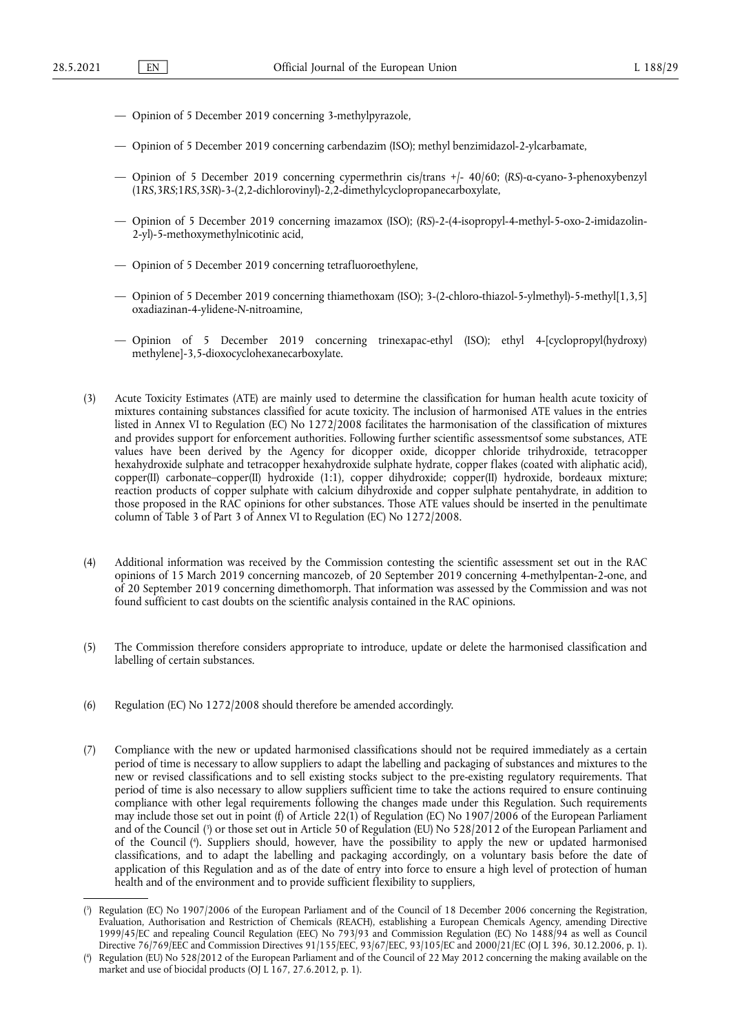- Opinion of 5 December 2019 concerning 3-methylpyrazole,
- Opinion of 5 December 2019 concerning carbendazim (ISO); methyl benzimidazol-2-ylcarbamate,
- Opinion of 5 December 2019 concerning cypermethrin cis/trans +/- 40/60; (*RS*)-α-cyano-3-phenoxybenzyl (1*RS*,3*RS*;1*RS*,3*SR*)-3-(2,2-dichlorovinyl)-2,2-dimethylcyclopropanecarboxylate,
- Opinion of 5 December 2019 concerning imazamox (ISO); (*RS*)-2-(4-isopropyl-4-methyl-5-oxo-2-imidazolin-2-yl)-5-methoxymethylnicotinic acid,
- Opinion of 5 December 2019 concerning tetrafluoroethylene,
- Opinion of 5 December 2019 concerning thiamethoxam (ISO); 3-(2-chloro-thiazol-5-ylmethyl)-5-methyl[1,3,5] oxadiazinan-4-ylidene-*N*-nitroamine,
- Opinion of 5 December 2019 concerning trinexapac-ethyl (ISO); ethyl 4-[cyclopropyl(hydroxy) methylene]-3,5-dioxocyclohexanecarboxylate.
- (3) Acute Toxicity Estimates (ATE) are mainly used to determine the classification for human health acute toxicity of mixtures containing substances classified for acute toxicity. The inclusion of harmonised ATE values in the entries listed in Annex VI to Regulation (EC) No 1272/2008 facilitates the harmonisation of the classification of mixtures and provides support for enforcement authorities. Following further scientific assessmentsof some substances, ATE values have been derived by the Agency for dicopper oxide, dicopper chloride trihydroxide, tetracopper hexahydroxide sulphate and tetracopper hexahydroxide sulphate hydrate, copper flakes (coated with aliphatic acid), copper(II) carbonate–copper(II) hydroxide (1:1), copper dihydroxide; copper(II) hydroxide, bordeaux mixture; reaction products of copper sulphate with calcium dihydroxide and copper sulphate pentahydrate, in addition to those proposed in the RAC opinions for other substances. Those ATE values should be inserted in the penultimate column of Table 3 of Part 3 of Annex VI to Regulation (EC) No 1272/2008.
- (4) Additional information was received by the Commission contesting the scientific assessment set out in the RAC opinions of 15 March 2019 concerning mancozeb, of 20 September 2019 concerning 4-methylpentan-2-one, and of 20 September 2019 concerning dimethomorph. That information was assessed by the Commission and was not found sufficient to cast doubts on the scientific analysis contained in the RAC opinions.
- (5) The Commission therefore considers appropriate to introduce, update or delete the harmonised classification and labelling of certain substances.
- (6) Regulation (EC) No 1272/2008 should therefore be amended accordingly.
- <span id="page-2-2"></span>(7) Compliance with the new or updated harmonised classifications should not be required immediately as a certain period of time is necessary to allow suppliers to adapt the labelling and packaging of substances and mixtures to the new or revised classifications and to sell existing stocks subject to the pre-existing regulatory requirements. That period of time is also necessary to allow suppliers sufficient time to take the actions required to ensure continuing compliance with other legal requirements following the changes made under this Regulation. Such requirements may include those set out in point (f) of Article 22(1) of Regulation (EC) No 1907/2006 of the European Parliament and of the Council [\(](#page-2-0) 3 ) or those set out in Article 50 of Regulation (EU) No 528/2012 of the European Parliament and of the Council [\(](#page-2-1) 4 ). Suppliers should, however, have the possibility to apply the new or updated harmonised classifications, and to adapt the labelling and packaging accordingly, on a voluntary basis before the date of application of this Regulation and as of the date of entry into force to ensure a high level of protection of human health and of the environment and to provide sufficient flexibility to suppliers,

<span id="page-2-3"></span><span id="page-2-0"></span>[<sup>\(</sup>](#page-2-2) 3 ) Regulation (EC) No 1907/2006 of the European Parliament and of the Council of 18 December 2006 concerning the Registration, Evaluation, Authorisation and Restriction of Chemicals (REACH), establishing a European Chemicals Agency, amending Directive 1999/45/EC and repealing Council Regulation (EEC) No 793/93 and Commission Regulation (EC) No 1488/94 as well as Council Directive 76/769/EEC and Commission Directives 91/155/EEC, 93/67/EEC, 93/105/EC and 2000/21/EC (OJ L 396, 30.12.2006, p. 1).

<span id="page-2-1"></span>[<sup>\(</sup>](#page-2-3) 4 ) Regulation (EU) No 528/2012 of the European Parliament and of the Council of 22 May 2012 concerning the making available on the market and use of biocidal products (OJ L 167, 27.6.2012, p. 1).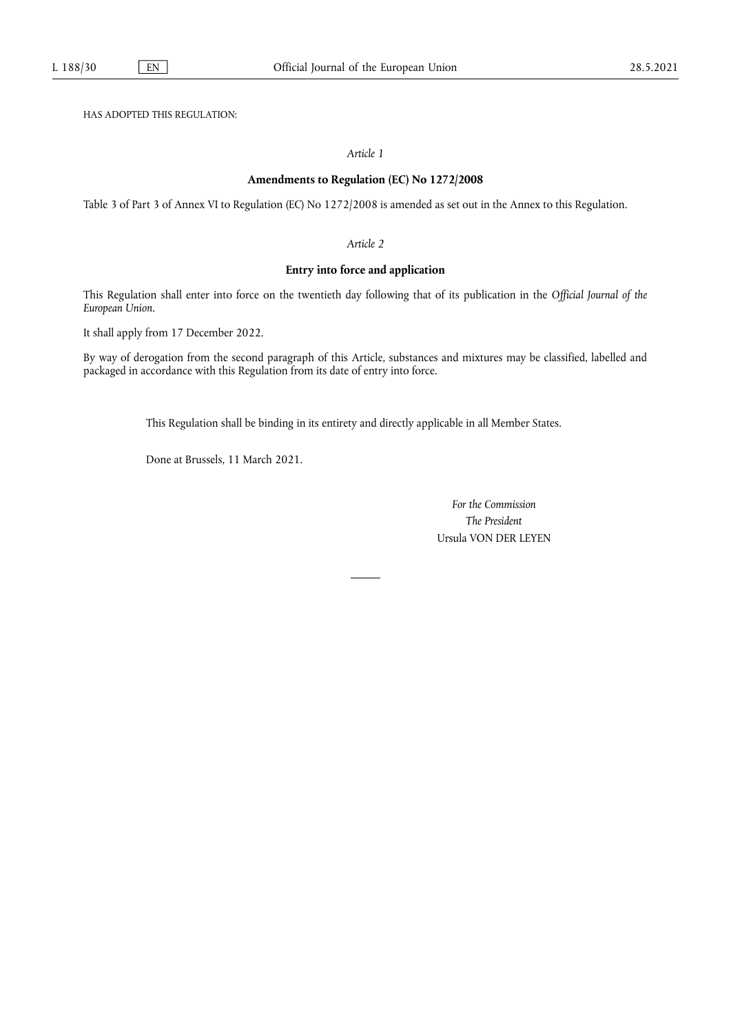HAS ADOPTED THIS REGULATION:

## *Article 1*

#### **Amendments to Regulation (EC) No 1272/2008**

Table 3 of Part 3 of Annex VI to Regulation (EC) No 1272/2008 is amended as set out in the Annex to this Regulation.

#### *Article 2*

## **Entry into force and application**

This Regulation shall enter into force on the twentieth day following that of its publication in the *Official Journal of the European Union*.

It shall apply from 17 December 2022.

By way of derogation from the second paragraph of this Article, substances and mixtures may be classified, labelled and packaged in accordance with this Regulation from its date of entry into force.

This Regulation shall be binding in its entirety and directly applicable in all Member States.

Done at Brussels, 11 March 2021.

*For the Commission The President* Ursula VON DER LEYEN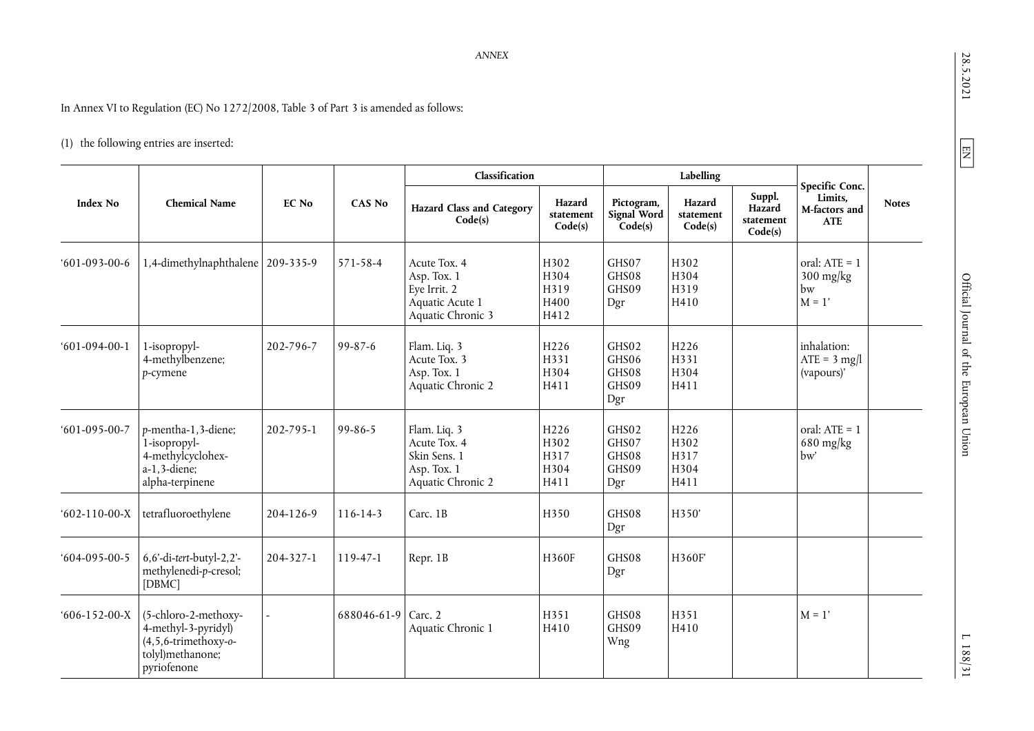28.5.2021

 $L 188/31$ 

In Annex VI to Regulation (EC) No 1272/2008, Table 3 of Part 3 is amended as follows:

# (1) the following entries are inserted:

|                      |                                                                                                           |           |                     | Classification                                                                      |                                                  |                                         | Labelling                            |                                          |                                                                        |              |
|----------------------|-----------------------------------------------------------------------------------------------------------|-----------|---------------------|-------------------------------------------------------------------------------------|--------------------------------------------------|-----------------------------------------|--------------------------------------|------------------------------------------|------------------------------------------------------------------------|--------------|
| <b>Index No</b>      | <b>Chemical Name</b>                                                                                      | EC No     | CAS No              | <b>Hazard Class and Category</b><br>Code(s)                                         | Hazard<br>statement<br>Code(s)                   | Pictogram,<br>Signal Word<br>Code(s)    | Hazard<br>statement<br>Code(s)       | Suppl.<br>Hazard<br>statement<br>Code(s) | Specific Conc.<br>Limits,<br>M-factors and<br><b>ATE</b>               | <b>Notes</b> |
| $601-093-00-6$       | 1,4-dimethylnaphthalene   209-335-9                                                                       |           | 571-58-4            | Acute Tox. 4<br>Asp. Tox. 1<br>Eye Irrit. 2<br>Aquatic Acute 1<br>Aquatic Chronic 3 | H302<br>H304<br>H319<br>H400<br>H412             | GHS07<br>GHS08<br>GHS09<br>Dgr          | H302<br>H304<br>H319<br>H410         |                                          | oral: $ATE = 1$<br>$300 \frac{\text{mg}}{\text{kg}}$<br>bw<br>$M = 1'$ |              |
| $601-094-00-1$       | 1-isopropyl-<br>4-methylbenzene;<br>p-cymene                                                              | 202-796-7 | $99 - 87 - 6$       | Flam. Liq. 3<br>Acute Tox. 3<br>Asp. Tox. 1<br>Aquatic Chronic 2                    | H <sub>226</sub><br>H331<br>H304<br>H411         | GHS02<br>GHS06<br>GHS08<br>GHS09<br>Dgr | H226<br>H331<br>H304<br>H411         |                                          | inhalation:<br>$ATE = 3$ mg/l<br>(vapours)'                            |              |
| $601 - 095 - 00 - 7$ | p-mentha-1,3-diene;<br>1-isopropyl-<br>4-methylcyclohex-<br>$a-1, 3$ -diene;<br>alpha-terpinene           | 202-795-1 | $99 - 86 - 5$       | Flam. Liq. 3<br>Acute Tox. 4<br>Skin Sens. 1<br>Asp. Tox. 1<br>Aquatic Chronic 2    | H <sub>226</sub><br>H302<br>H317<br>H304<br>H411 | GHS02<br>GHS07<br>GHS08<br>GHS09<br>Dgr | H226<br>H302<br>H317<br>H304<br>H411 |                                          | oral: $ATE = 1$<br>$680$ mg/kg<br>bw'                                  |              |
| $602-110-00-X$       | tetrafluoroethylene                                                                                       | 204-126-9 | $116 - 14 - 3$      | Carc. 1B                                                                            | H350                                             | GHS08<br>Dgr                            | H350'                                |                                          |                                                                        |              |
| $604-095-00-5$       | 6,6'-di-tert-butyl-2,2'-<br>methylenedi-p-cresol;<br>[DBMC]                                               | 204-327-1 | 119-47-1            | Repr. 1B                                                                            | H360F                                            | GHS08<br>Dgr                            | H360F                                |                                          |                                                                        |              |
| $606-152-00-X$       | (5-chloro-2-methoxy-<br>4-methyl-3-pyridyl)<br>$(4,5,6-$ trimethoxy-o-<br>tolyl)methanone;<br>pyriofenone |           | 688046-61-9 Carc. 2 | Aquatic Chronic 1                                                                   | H351<br>H410                                     | GHS08<br>GHS09<br>Wng                   | H351<br>H410                         |                                          | $M = 1'$                                                               |              |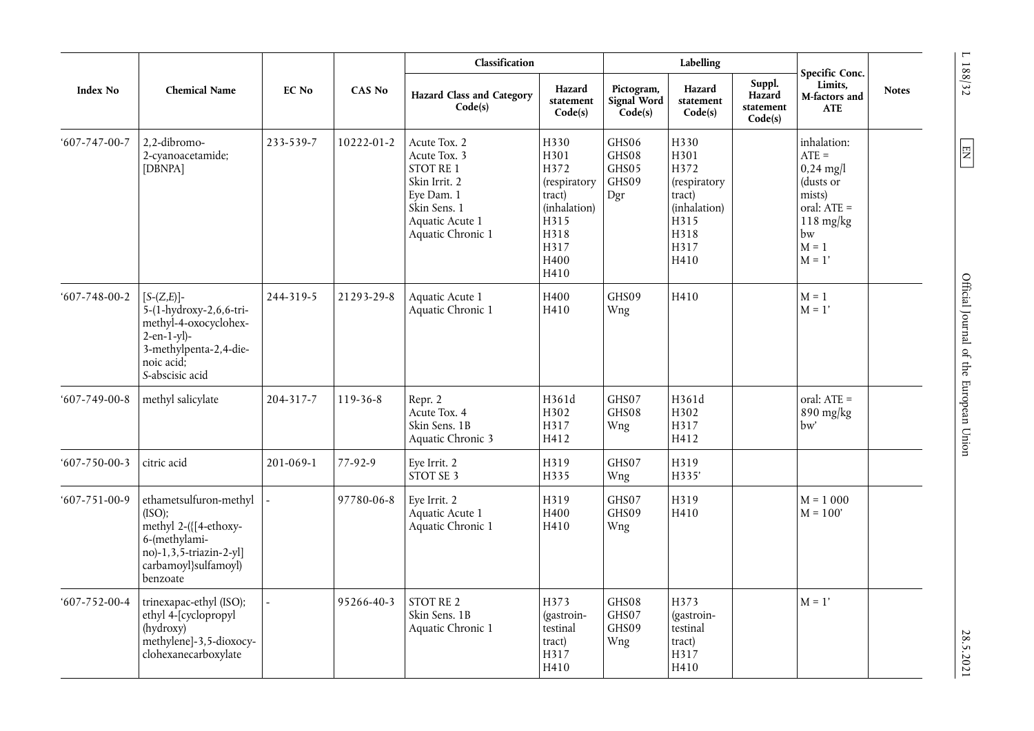| <b>Index No</b>      |                                                                                                                                             |              |               | Classification                                                                                                                   |                                                                                                        |                                         | Labelling                                                                                      |                                          |                                                                                                                               |              |
|----------------------|---------------------------------------------------------------------------------------------------------------------------------------------|--------------|---------------|----------------------------------------------------------------------------------------------------------------------------------|--------------------------------------------------------------------------------------------------------|-----------------------------------------|------------------------------------------------------------------------------------------------|------------------------------------------|-------------------------------------------------------------------------------------------------------------------------------|--------------|
|                      | <b>Chemical Name</b>                                                                                                                        | <b>EC No</b> | <b>CAS No</b> | <b>Hazard Class and Category</b><br>Code(s)                                                                                      | Hazard<br>statement<br>Code(s)                                                                         | Pictogram,<br>Signal Word<br>Code(s)    | Hazard<br>statement<br>Code(s)                                                                 | Suppl.<br>Hazard<br>statement<br>Code(s) | Specific Conc.<br>Limits,<br>M-factors and<br><b>ATE</b>                                                                      | <b>Notes</b> |
| $607 - 747 - 00 - 7$ | 2.2-dibromo-<br>2-cyanoacetamide;<br>[DBNPA]                                                                                                | 233-539-7    | 10222-01-2    | Acute Tox. 2<br>Acute Tox. 3<br>STOT RE 1<br>Skin Irrit. 2<br>Eye Dam. 1<br>Skin Sens. 1<br>Aquatic Acute 1<br>Aquatic Chronic 1 | H330<br>H301<br>H372<br>(respiratory<br>tract)<br>(inhalation)<br>H315<br>H318<br>H317<br>H400<br>H410 | GHS06<br>GHS08<br>GHS05<br>GHS09<br>Dgr | H330<br>H301<br>H372<br>(respiratory<br>tract)<br>(inhalation)<br>H315<br>H318<br>H317<br>H410 |                                          | inhalation:<br>$ATE =$<br>$0,24 \text{ mg}$<br>(dusts or<br>mists)<br>oral: ATE =<br>$118$ mg/kg<br>bw<br>$M = 1$<br>$M = 1'$ |              |
| $607 - 748 - 00 - 2$ | $[S-(Z,E)]$ -<br>5-(1-hydroxy-2,6,6-tri-<br>methyl-4-oxocyclohex-<br>$2-en-1-yl$<br>3-methylpenta-2,4-die-<br>noic acid;<br>S-abscisic acid | 244-319-5    | 21293-29-8    | Aquatic Acute 1<br>Aquatic Chronic 1                                                                                             | H400<br>H410                                                                                           | GHS09<br>Wng                            | H410                                                                                           |                                          | $M = 1$<br>$M = 1'$                                                                                                           |              |
| $607 - 749 - 00 - 8$ | methyl salicylate                                                                                                                           | 204-317-7    | 119-36-8      | Repr. 2<br>Acute Tox. 4<br>Skin Sens. 1B<br>Aquatic Chronic 3                                                                    | H361d<br>H302<br>H317<br>H412                                                                          | GHS07<br>GHS08<br>Wng                   | H361d<br>H302<br>H317<br>H412                                                                  |                                          | oral: ATE =<br>890 mg/kg<br>bw'                                                                                               |              |
| $607 - 750 - 00 - 3$ | citric acid                                                                                                                                 | 201-069-1    | 77-92-9       | Eye Irrit. 2<br>STOT SE 3                                                                                                        | H319<br>H335                                                                                           | GHS07<br>Wng                            | H319<br>H335'                                                                                  |                                          |                                                                                                                               |              |
| $607 - 751 - 00 - 9$ | ethametsulfuron-methyl<br>(ISO);<br>methyl 2-({[4-ethoxy-<br>6-(methylami-<br>no)-1,3,5-triazin-2-yl]<br>carbamoyl}sulfamoyl)<br>benzoate   |              | 97780-06-8    | Eye Irrit. 2<br>Aquatic Acute 1<br>Aquatic Chronic 1                                                                             | H319<br>H400<br>H410                                                                                   | GHS07<br>GHS09<br>Wng                   | H319<br>H410                                                                                   |                                          | $M = 1000$<br>$M = 100'$                                                                                                      |              |
| $607 - 752 - 00 - 4$ | trinexapac-ethyl (ISO);<br>ethyl 4-[cyclopropyl<br>(hydroxy)<br>methylene]-3,5-dioxocy-<br>clohexanecarboxylate                             |              | 95266-40-3    | STOT RE 2<br>Skin Sens. 1B<br>Aquatic Chronic 1                                                                                  | H373<br>(gastroin-<br>testinal<br>tract)<br>H317<br>H410                                               | GHS08<br>GHS07<br>GHS09<br>Wng          | H373<br>(gastroin-<br>testinal<br>tract)<br>H317<br>H410                                       |                                          | $M = 1'$                                                                                                                      |              |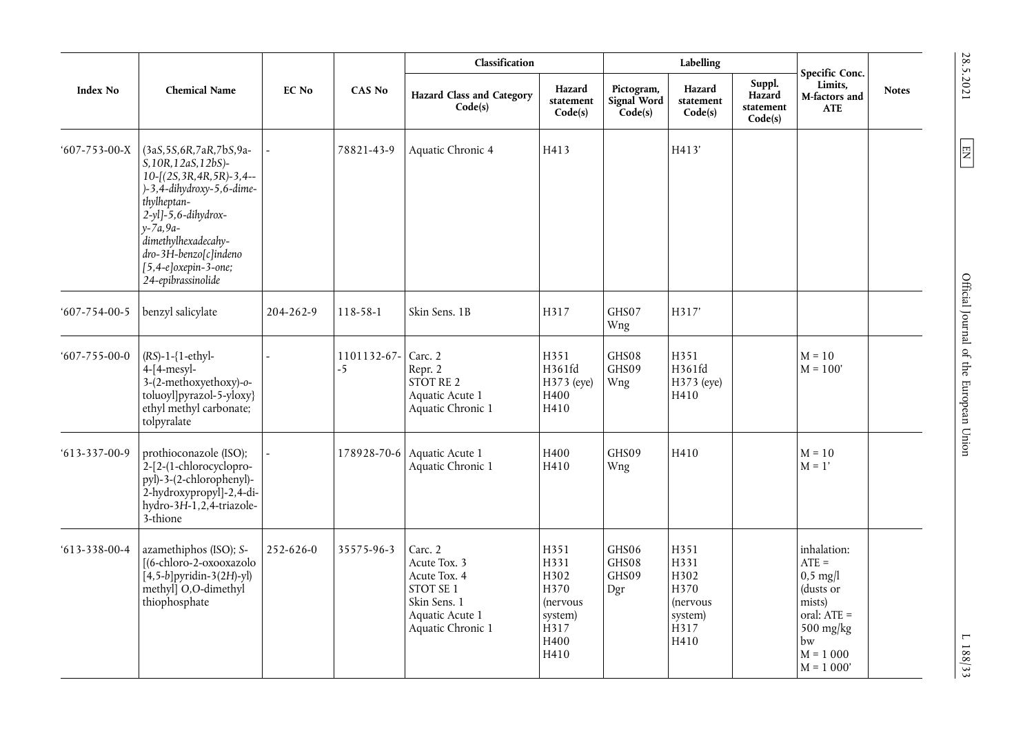|                      |                                                                                                                                                                                                                                                                               |                 |                     | Classification                                                                                               |                                                                                         |                                      | Labelling                                                                               |                                          |                                                                                                                              |              |
|----------------------|-------------------------------------------------------------------------------------------------------------------------------------------------------------------------------------------------------------------------------------------------------------------------------|-----------------|---------------------|--------------------------------------------------------------------------------------------------------------|-----------------------------------------------------------------------------------------|--------------------------------------|-----------------------------------------------------------------------------------------|------------------------------------------|------------------------------------------------------------------------------------------------------------------------------|--------------|
| Index No             | <b>Chemical Name</b>                                                                                                                                                                                                                                                          | <b>EC No</b>    | <b>CAS No</b>       | <b>Hazard Class and Category</b><br>Code(s)                                                                  | Hazard<br>statement<br>Code(s)                                                          | Pictogram,<br>Signal Word<br>Code(s) | Hazard<br>statement<br>Code(s)                                                          | Suppl.<br>Hazard<br>statement<br>Code(s) | Specific Conc.<br>Limits,<br>M-factors and<br><b>ATE</b>                                                                     | <b>Notes</b> |
| $607 - 753 - 00 - X$ | (3aS, 5S, 6R, 7aR, 7bS, 9a-<br>S, 10R, 12aS, 12bS)-<br>10-[(2S, 3R, 4R, 5R)-3, 4--<br>$)-3,4$ -dihydroxy-5,6-dime-<br>thylheptan-<br>$2-y1$ ]-5,6-dihydrox-<br>$y - 7a, 9a -$<br>dimethylhexadecahy-<br>dro-3H-benzo[c]indeno<br>$[5,4-e]oxepin-3-one;$<br>24-epibrassinolide |                 | 78821-43-9          | Aquatic Chronic 4                                                                                            | H413                                                                                    |                                      | H413'                                                                                   |                                          |                                                                                                                              |              |
| $607 - 754 - 00 - 5$ | benzyl salicylate                                                                                                                                                                                                                                                             | 204-262-9       | 118-58-1            | Skin Sens. 1B                                                                                                | H317                                                                                    | GHS07<br>Wng                         | H317'                                                                                   |                                          |                                                                                                                              |              |
| $607 - 755 - 00 - 0$ | $(RS)-1-\{1-ethy\}$ -<br>$4-[4-mesyl-$<br>3-(2-methoxyethoxy)-0-<br>toluoyl]pyrazol-5-yloxy}<br>ethyl methyl carbonate;<br>tolpyralate                                                                                                                                        |                 | 1101132-67-<br>$-5$ | Carc. 2<br>Repr. 2<br>STOT RE 2<br>Aquatic Acute 1<br>Aquatic Chronic 1                                      | H351<br>H361fd<br>H373 (eye)<br>H400<br>H410                                            | GHS08<br>GHS09<br>Wng                | H351<br>H361fd<br>H373 (eye)<br>H410                                                    |                                          | $M = 10$<br>$M = 100'$                                                                                                       |              |
| $613 - 337 - 00 - 9$ | prothioconazole (ISO);<br>2-[2-(1-chlorocyclopro-<br>pyl)-3-(2-chlorophenyl)-<br>2-hydroxypropyl]-2,4-di-<br>hydro-3H-1,2,4-triazole-<br>3-thione                                                                                                                             |                 |                     | 178928-70-6 Aquatic Acute 1<br>Aquatic Chronic 1                                                             | H400<br>H410                                                                            | GHS09<br>Wng                         | H410                                                                                    |                                          | $M = 10$<br>$M = 1'$                                                                                                         |              |
| $613 - 338 - 00 - 4$ | azamethiphos (ISO); S-<br>[(6-chloro-2-oxooxazolo<br>$[4,5-b]$ pyridin-3(2H)-yl)<br>methyll O,O-dimethyl<br>thiophosphate                                                                                                                                                     | $252 - 626 - 0$ | 35575-96-3          | Carc. 2<br>Acute Tox. 3<br>Acute Tox. 4<br>STOT SE 1<br>Skin Sens. 1<br>Aquatic Acute 1<br>Aquatic Chronic 1 | H351<br>H331<br>H302<br>H370<br>(nervous<br>system)<br>H <sub>317</sub><br>H400<br>H410 | GHS06<br>GHS08<br>GHS09<br>Dgr       | H351<br>H331<br>H302<br>H370<br><i>(nervous)</i><br>system)<br>H <sub>317</sub><br>H410 |                                          | inhalation:<br>$ATE =$<br>$0,5$ mg/l<br>(dusts or<br>mists)<br>oral: ATE =<br>$500$ mg/kg<br>bw<br>$M = 1000$<br>$M = 1000'$ |              |

SS.5.70011 L  $\overline{EN}$   $\overline{S}$  and  $\overline{S}$  and  $\overline{S}$  and  $\overline{S}$  are European Union 28.5.101 L 188/333 Official Journal of the European Union

 $\boxed{\text{EM}}$ 

28.5.2021

 $L$  188/33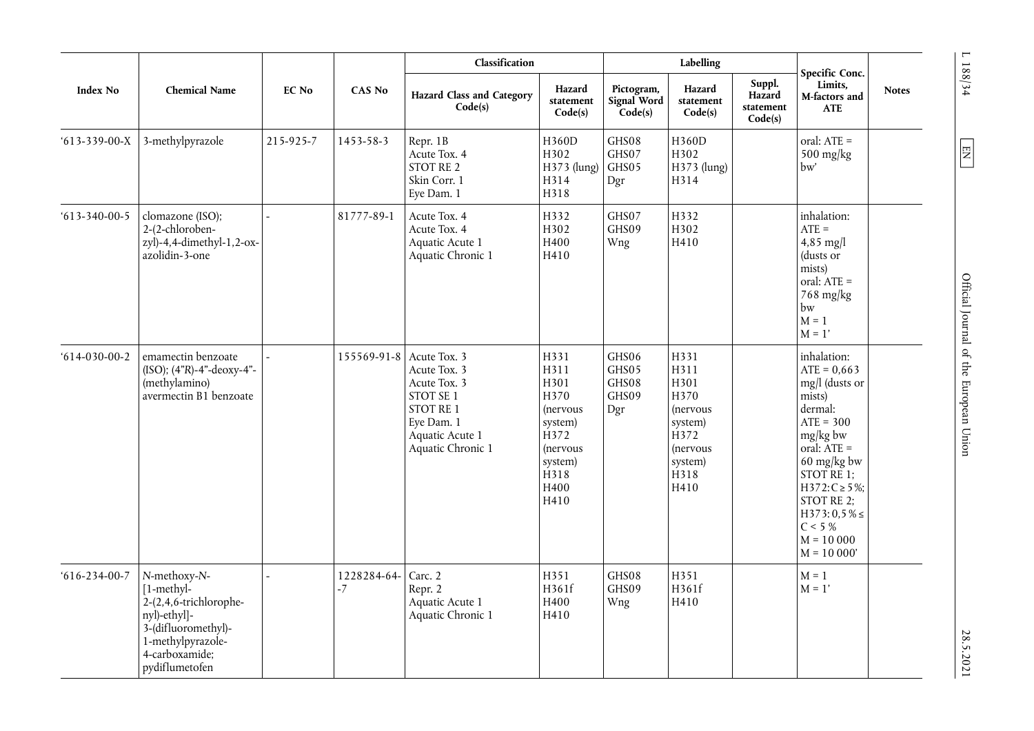|                      |                                                                                                                                                        |              |                     | Classification                                                                                                               |                                                                                                                        |                                         | Labelling                                                                                                      |                                          |                                                                                                                                                                                                                                                               |              |
|----------------------|--------------------------------------------------------------------------------------------------------------------------------------------------------|--------------|---------------------|------------------------------------------------------------------------------------------------------------------------------|------------------------------------------------------------------------------------------------------------------------|-----------------------------------------|----------------------------------------------------------------------------------------------------------------|------------------------------------------|---------------------------------------------------------------------------------------------------------------------------------------------------------------------------------------------------------------------------------------------------------------|--------------|
| <b>Index No</b>      | <b>Chemical Name</b>                                                                                                                                   | <b>EC No</b> | <b>CAS No</b>       | <b>Hazard Class and Category</b><br>Code(s)                                                                                  | Hazard<br>statement<br>Code(s)                                                                                         | Pictogram,<br>Signal Word<br>Code(s)    | Hazard<br>statement<br>Code(s)                                                                                 | Suppl.<br>Hazard<br>statement<br>Code(s) | Specific Conc.<br>Limits.<br>M-factors and<br><b>ATE</b>                                                                                                                                                                                                      | <b>Notes</b> |
| $613 - 339 - 00 - X$ | 3-methylpyrazole                                                                                                                                       | 215-925-7    | 1453-58-3           | Repr. 1B<br>Acute Tox. 4<br>STOT RE 2<br>Skin Corr. 1<br>Eye Dam. 1                                                          | H360D<br>H302<br>H373 (lung)<br>H314<br>H318                                                                           | GHS08<br>GHS07<br>GHS05<br>Dgr          | H360D<br>H302<br>H373 (lung)<br>H314                                                                           |                                          | oral: $ATE =$<br>$500$ mg/kg<br>bw'                                                                                                                                                                                                                           |              |
| $613 - 340 - 00 - 5$ | clomazone (ISO);<br>2-(2-chloroben-<br>zyl)-4,4-dimethyl-1,2-ox-<br>azolidin-3-one                                                                     |              | 81777-89-1          | Acute Tox. 4<br>Acute Tox. 4<br>Aquatic Acute 1<br>Aquatic Chronic 1                                                         | H332<br>H302<br>H400<br>H410                                                                                           | GHS07<br>GHS09<br>Wng                   | H332<br>H302<br>H410                                                                                           |                                          | inhalation:<br>$ATE =$<br>4,85 mg/l<br>(dusts or<br>mists)<br>oral: ATE =<br>768 mg/kg<br>bw<br>$M = 1$<br>$M = 1'$                                                                                                                                           |              |
| $614-030-00-2$       | emamectin benzoate<br>(ISO); (4"R)-4"-deoxy-4"-<br>(methylamino)<br>avermectin B1 benzoate                                                             |              | 155569-91-8         | Acute Tox. 3<br>Acute Tox. 3<br>Acute Tox. 3<br>STOT SE 1<br>STOT RE 1<br>Eye Dam. 1<br>Aquatic Acute 1<br>Aquatic Chronic 1 | H331<br>H311<br>H301<br>H370<br>(nervous<br>system)<br>H372<br>(nervous<br>system)<br>H <sub>318</sub><br>H400<br>H410 | GHS06<br>GHS05<br>GHS08<br>GHS09<br>Dgr | H331<br>H311<br>H301<br>H370<br>(nervous<br>system)<br>H <sub>372</sub><br>(nervous<br>system)<br>H318<br>H410 |                                          | inhalation:<br>$ATE = 0,663$<br>mg/l (dusts or<br>mists)<br>dermal:<br>$ATE = 300$<br>$mg/kg$ bw<br>oral: $\overline{ATE}$ =<br>60 mg/kg bw<br>$STOTRE$ 1;<br>$H372: C \ge 5\%$ ;<br>STOT RE 2;<br>$H373:0,5\% \leq$<br>C < 5%<br>$M = 10000$<br>$M = 10000'$ |              |
| $616 - 234 - 00 - 7$ | N-methoxy-N-<br>$[1-methyl-$<br>2-(2,4,6-trichlorophe-<br>nyl)-ethyl]-<br>3-(difluoromethyl)-<br>1-methylpyrazole-<br>4-carboxamide;<br>pydiflumetofen |              | 1228284-64-<br>$-7$ | Carc. 2<br>Repr. 2<br>Aquatic Acute 1<br>Aquatic Chronic 1                                                                   | H351<br>H361f<br>H400<br>H410                                                                                          | GHS08<br>GHS09<br>Wng                   | H351<br>H361f<br>H410                                                                                          |                                          | $M = 1$<br>$M = 1'$                                                                                                                                                                                                                                           |              |

 $L$  188/34  $\,$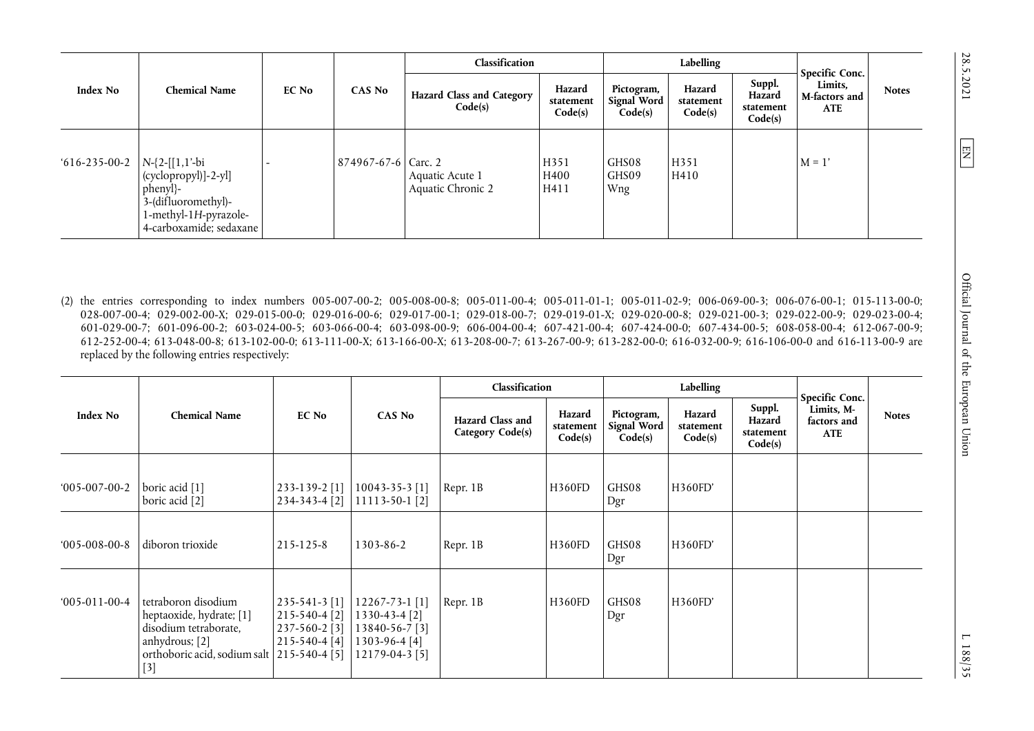|                      |                                                                                                                                   |       |                     | Classification                              |                                |                                      | Labelling                      |                                          |                                                          |              |
|----------------------|-----------------------------------------------------------------------------------------------------------------------------------|-------|---------------------|---------------------------------------------|--------------------------------|--------------------------------------|--------------------------------|------------------------------------------|----------------------------------------------------------|--------------|
| <b>Index No</b>      | <b>Chemical Name</b>                                                                                                              | EC No | CAS No              | <b>Hazard Class and Category</b><br>Code(s) | Hazard<br>statement<br>Code(s) | Pictogram,<br>Signal Word<br>Code(s) | Hazard<br>statement<br>Code(s) | Suppl.<br>Hazard<br>statement<br>Code(s) | Specific Conc.<br>Limits,<br>M-factors and<br><b>ATE</b> | <b>Notes</b> |
| $616 - 235 - 00 - 2$ | $N-\{2-[1,1'-bi\}$<br>(cyclopropyl)]-2-yl]<br>phenyl}-<br>3-(difluoromethyl)-<br>1-methyl-1H-pyrazole-<br>4-carboxamide; sedaxane |       | 874967-67-6 Carc. 2 | Aquatic Acute 1<br>Aquatic Chronic 2        | H351<br>H400<br>H411           | GHS08<br>GHS09<br>Wng                | H351<br>H410                   |                                          | $M = 1'$                                                 |              |

(2) the entries corresponding to index numbers 005-007-00-2; 005-008-00-8; 005-011-00-4; 005-011-01-1; 005-011-02-9; 006-069-00-3; 006-076-00-1; 015-113-00-0; 028-007-00-4; 029-002-00-X; 029-015-00-0; 029-016-00-6; 029-017-00-1; 029-018-00-7; 029-019-01-X; 029-020-00-8; 029-021-00-3; 029-022-00-9; 029-023-00-4; 601-029-00-7; 601-096-00-2; 603-024-00-5; 603-066-00-4; 603-098-00-9; 606-004-00-4; 607-421-00-4; 607-424-00-0; 607-434-00-5; 608-058-00-4; 612-067-00-9; 612-252-00-4; 613-048-00-8; 613-102-00-0; 613-111-00-X; 613-166-00-X; 613-208-00-7; 613-267-00-9; 613-282-00-0; 616-032-00-9; 616-106-00-0 and 616-113-00-9 are replaced by the following entries respectively:

|                 |                                                                                                                                                     |                                                                              |                                                                                      | Classification                       |                                |                                             | Labelling                      |                                          | Specific Conc.                          |              |
|-----------------|-----------------------------------------------------------------------------------------------------------------------------------------------------|------------------------------------------------------------------------------|--------------------------------------------------------------------------------------|--------------------------------------|--------------------------------|---------------------------------------------|--------------------------------|------------------------------------------|-----------------------------------------|--------------|
| <b>Index No</b> | <b>Chemical Name</b>                                                                                                                                | EC No                                                                        | <b>CAS No</b>                                                                        | Hazard Class and<br>Category Code(s) | Hazard<br>statement<br>Code(s) | Pictogram,<br><b>Signal Word</b><br>Code(s) | Hazard<br>statement<br>Code(s) | Suppl.<br>Hazard<br>statement<br>Code(s) | Limits, M-<br>factors and<br><b>ATE</b> | <b>Notes</b> |
| $005-007-00-2$  | boric acid [1]<br>boric acid [2]                                                                                                                    | 233-139-2 [1]<br>234-343-4 [2]                                               | $10043 - 35 - 3$ [1]<br>11113-50-1 [2]                                               | Repr. 1B                             | H360FD                         | GHS08<br>Dgr                                | <b>H360FD'</b>                 |                                          |                                         |              |
| $005-008-00-8$  | diboron trioxide                                                                                                                                    | $215 - 125 - 8$                                                              | 1303-86-2                                                                            | Repr. 1B                             | H360FD                         | GHS08<br>Dgr                                | H360FD'                        |                                          |                                         |              |
| $005-011-00-4$  | tetraboron disodium<br>heptaoxide, hydrate; [1]<br>disodium tetraborate,<br>anhydrous; [2]<br>orthoboric acid, sodium salt   215-540-4 [5]<br>$[3]$ | $235 - 541 - 3$ [1]<br>$215 - 540 - 4$ [2]<br>237-560-2 [3]<br>215-540-4 [4] | 12267-73-1 [1]<br>1330-43-4 [2]<br>13840-56-7 [3]<br>1303-96-4 [4]<br>12179-04-3 [5] | Repr. 1B                             | H360FD                         | GHS08<br>Dgr                                | H360FD'                        |                                          |                                         |              |

 $\boxed{\Xi}$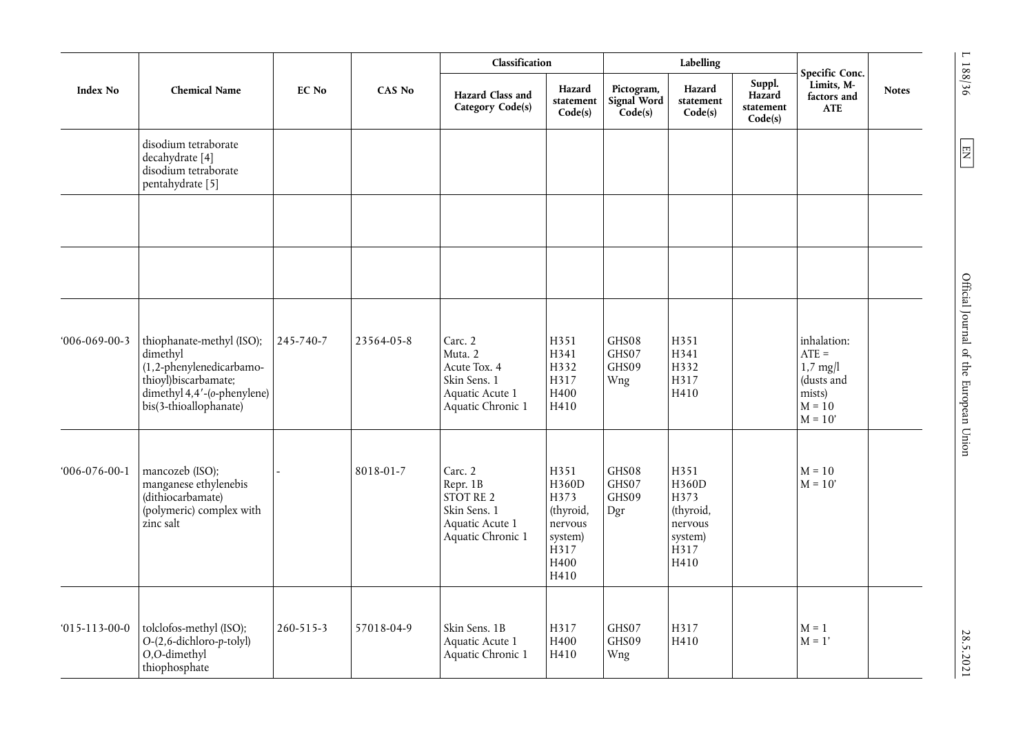|                      |                                                                                                                                                    |              |               | Classification                                                                             |                                                                                  |                                      | Labelling                                                                |                                          |                                                                                       |              |
|----------------------|----------------------------------------------------------------------------------------------------------------------------------------------------|--------------|---------------|--------------------------------------------------------------------------------------------|----------------------------------------------------------------------------------|--------------------------------------|--------------------------------------------------------------------------|------------------------------------------|---------------------------------------------------------------------------------------|--------------|
| <b>Index No</b>      | <b>Chemical Name</b>                                                                                                                               | <b>EC No</b> | <b>CAS No</b> | Hazard Class and<br>Category Code(s)                                                       | Hazard<br>statement<br>Code(s)                                                   | Pictogram,<br>Signal Word<br>Code(s) | Hazard<br>statement<br>Code(s)                                           | Suppl.<br>Hazard<br>statement<br>Code(s) | Specific Conc.<br>Limits, M-<br>factors and<br><b>ATE</b>                             | <b>Notes</b> |
|                      | disodium tetraborate<br>decahydrate [4]<br>disodium tetraborate<br>pentahydrate [5]                                                                |              |               |                                                                                            |                                                                                  |                                      |                                                                          |                                          |                                                                                       |              |
|                      |                                                                                                                                                    |              |               |                                                                                            |                                                                                  |                                      |                                                                          |                                          |                                                                                       |              |
| $006-069-00-3$       | thiophanate-methyl (ISO);<br>dimethyl<br>(1,2-phenylenedicarbamo-<br>thioyl)biscarbamate;<br>dimethyl 4,4'-(o-phenylene)<br>bis(3-thioallophanate) | 245-740-7    | 23564-05-8    | Carc. 2<br>Muta. 2<br>Acute Tox. 4<br>Skin Sens. 1<br>Aquatic Acute 1<br>Aquatic Chronic 1 | H351<br>H341<br>H332<br>H317<br>H400<br>H410                                     | GHS08<br>GHS07<br>GHS09<br>Wng       | H351<br>H341<br>H332<br>H317<br>H410                                     |                                          | inhalation:<br>$ATE =$<br>$1,7$ mg/l<br>(dusts and<br>mists)<br>$M = 10$<br>$M = 10'$ |              |
| $006 - 076 - 00 - 1$ | mancozeb (ISO);<br>manganese ethylenebis<br>(dithiocarbamate)<br>(polymeric) complex with<br>zinc salt                                             |              | 8018-01-7     | Carc. 2<br>Repr. 1B<br>STOT RE 2<br>Skin Sens. 1<br>Aquatic Acute 1<br>Aquatic Chronic 1   | H351<br>H360D<br>H373<br>(thyroid,<br>nervous<br>system)<br>H317<br>H400<br>H410 | GHS08<br>GHS07<br>GHS09<br>Dgr       | H351<br>H360D<br>H373<br>(thyroid,<br>nervous<br>system)<br>H317<br>H410 |                                          | $M = 10$<br>$M = 10'$                                                                 |              |
| $015 - 113 - 00 - 0$ | tolclofos-methyl (ISO);<br>$O-(2, 6$ -dichloro-p-tolyl)<br>O,O-dimethyl<br>thiophosphate                                                           | 260-515-3    | 57018-04-9    | Skin Sens. 1B<br>Aquatic Acute 1<br>Aquatic Chronic 1                                      | H317<br>H400<br>H410                                                             | GHS07<br>GHS09<br>Wng                | H317<br>H410                                                             |                                          | $M = 1$<br>$M = 1'$                                                                   |              |

 $L$  188/36  $\,$ 

 $\boxed{\text{N} }$ 

 $E\left[\text{N}^{\text{max}}\right]$  and  $E\left[\text{N}^{\text{max}}\right]$  and  $E\left[\text{N}^{\text{max}}\right]$  of the European Union L 188.7.2021 28.5.2021 Official Journal of the European Union

28.5.2021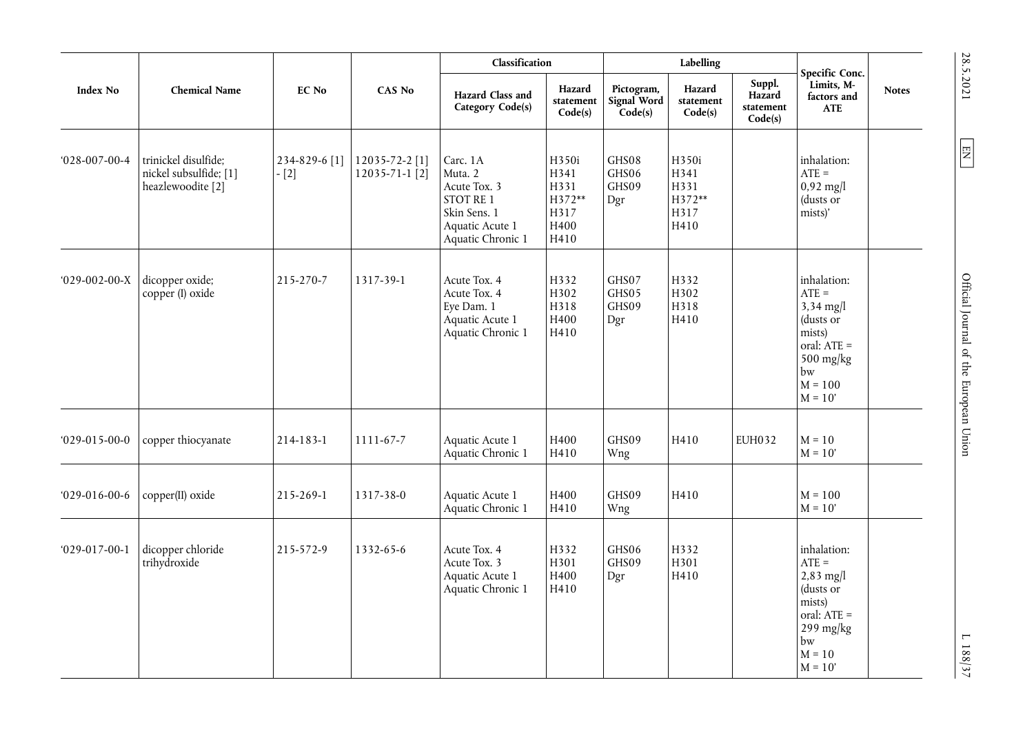|                      |                                                                                | EC No                   |                                        | Classification                                                                                                  |                                                         |                                      | Labelling                                       |                                          | Specific Conc.<br>Limits, M-                                                                                             |              |
|----------------------|--------------------------------------------------------------------------------|-------------------------|----------------------------------------|-----------------------------------------------------------------------------------------------------------------|---------------------------------------------------------|--------------------------------------|-------------------------------------------------|------------------------------------------|--------------------------------------------------------------------------------------------------------------------------|--------------|
| <b>Index No</b>      | <b>Chemical Name</b>                                                           |                         | <b>CAS No</b>                          | Hazard Class and<br>Category Code(s)                                                                            | Hazard<br>statement<br>Code(s)                          | Pictogram,<br>Signal Word<br>Code(s) | Hazard<br>statement<br>Code(s)                  | Suppl.<br>Hazard<br>statement<br>Code(s) | factors and<br><b>ATE</b>                                                                                                | <b>Notes</b> |
| $028 - 007 - 00 - 4$ | trinickel disulfide;<br>nickel subsulfide; [1]<br>heazlewoodite <sup>[2]</sup> | 234-829-6 [1]<br>$-[2]$ | 12035-72-2 [1]<br>$12035 - 71 - 1$ [2] | Carc. 1A<br>Muta. 2<br>Acute Tox. 3<br><b>STOT RE 1</b><br>Skin Sens. 1<br>Aquatic Acute 1<br>Aquatic Chronic 1 | H350i<br>H341<br>H331<br>H372**<br>H317<br>H400<br>H410 | GHS08<br>GHS06<br>GHS09<br>Dgr       | H350i<br>H341<br>H331<br>H372**<br>H317<br>H410 |                                          | inhalation:<br>$ATE =$<br>$0,92$ mg/l<br>(dusts or<br>mists)'                                                            |              |
| $029-002-00-X$       | dicopper oxide;<br>copper (I) oxide                                            | 215-270-7               | 1317-39-1                              | Acute Tox. 4<br>Acute Tox. 4<br>Eye Dam. 1<br>Aquatic Acute 1<br>Aquatic Chronic 1                              | H332<br>H302<br>H318<br>H400<br>H410                    | GHS07<br>GHS05<br>GHS09<br>Dgr       | H332<br>H302<br>H318<br>H410                    |                                          | inhalation:<br>$ATE =$<br>$3,34$ mg/l<br>(dusts or<br>mists)<br>oral: ATE =<br>500 mg/kg<br>bw<br>$M = 100$<br>$M = 10'$ |              |
| $029-015-00-0$       | copper thiocyanate                                                             | 214-183-1               | 1111-67-7                              | Aquatic Acute 1<br>Aquatic Chronic 1                                                                            | H400<br>H410                                            | GHS09<br>Wng                         | H410                                            | EUH032                                   | $M = 10$<br>$M = 10'$                                                                                                    |              |
| $029-016-00-6$       | copper(II) oxide                                                               | 215-269-1               | 1317-38-0                              | Aquatic Acute 1<br>Aquatic Chronic 1                                                                            | H400<br>H410                                            | GHS09<br>Wng                         | H410                                            |                                          | $M = 100$<br>$M = 10'$                                                                                                   |              |
| $029 - 017 - 00 - 1$ | dicopper chloride<br>trihydroxide                                              | 215-572-9               | 1332-65-6                              | Acute Tox. 4<br>Acute Tox. 3<br>Aquatic Acute 1<br>Aquatic Chronic 1                                            | H332<br>H301<br>H400<br>H410                            | GHS06<br>GHS09<br>Dgr                | H332<br>H301<br>H410                            |                                          | inhalation:<br>$ATE =$<br>$2,83$ mg/l<br>(dusts or<br>mists)<br>oral: ATE =<br>299 mg/kg<br>bw<br>$M = 10$<br>$M = 10'$  |              |

SS.5.7011 L  $\overline{EN}$   $\overline{S}$  and  $\overline{S}$  and  $\overline{S}$  and  $\overline{S}$  are European Union 28.5.101 L  $\overline{S}$  188/37 Official Journal of the European Union

 $L$  188/37

28.5.2021

 $\boxed{\text{EM}}$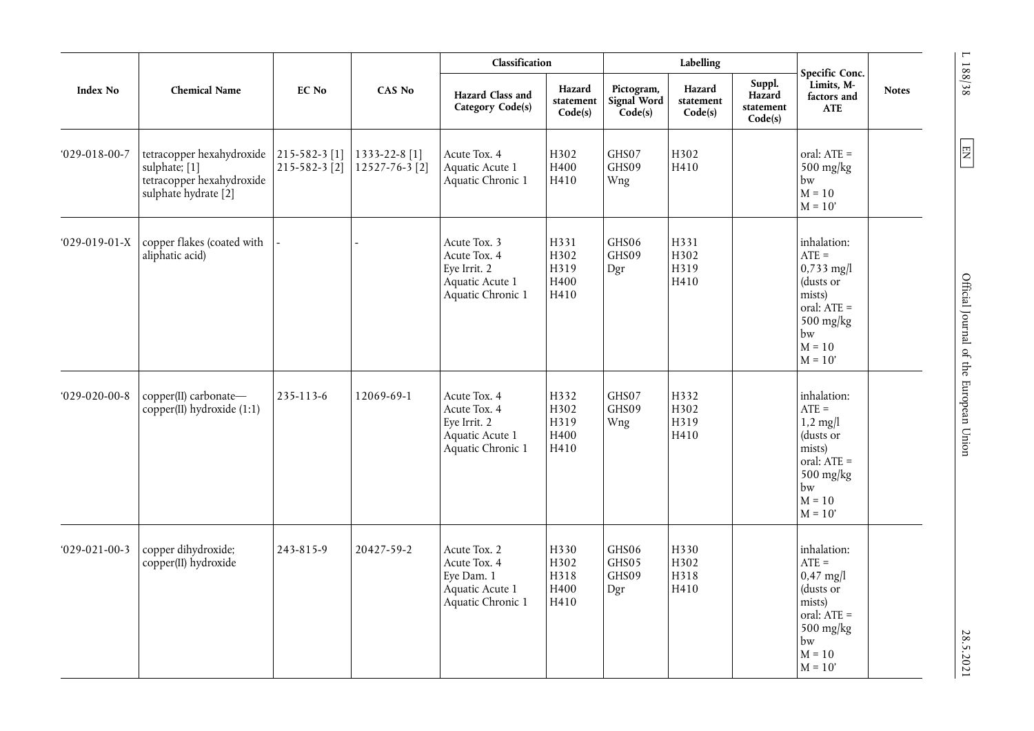|                      |                                                                                                 |                                                       |                                 | Classification                                                                       |                                      |                                      | Labelling                      |                                          |                                                                                                                            |              |
|----------------------|-------------------------------------------------------------------------------------------------|-------------------------------------------------------|---------------------------------|--------------------------------------------------------------------------------------|--------------------------------------|--------------------------------------|--------------------------------|------------------------------------------|----------------------------------------------------------------------------------------------------------------------------|--------------|
| Index No             | <b>Chemical Name</b>                                                                            | EC No                                                 | <b>CAS No</b>                   | Hazard Class and<br>Category Code(s)                                                 | Hazard<br>statement<br>Code(s)       | Pictogram,<br>Signal Word<br>Code(s) | Hazard<br>statement<br>Code(s) | Suppl.<br>Hazard<br>statement<br>Code(s) | Specific Conc.<br>Limits, M-<br>factors and<br><b>ATE</b>                                                                  | <b>Notes</b> |
| $029 - 018 - 00 - 7$ | tetracopper hexahydroxide<br>sulphate; [1]<br>tetracopper hexahydroxide<br>sulphate hydrate [2] | $215 - 582 - 3$ [1]<br>$215 - 582 - 3$ <sup>[2]</sup> | 1333-22-8 [1]<br>12527-76-3 [2] | Acute Tox. 4<br>Aquatic Acute 1<br>Aquatic Chronic 1                                 | H302<br>H400<br>H410                 | GHS07<br>GHS09<br>Wng                | H302<br>H410                   |                                          | oral: ATE =<br>500 mg/kg<br>bw<br>$M = 10$<br>$M = 10'$                                                                    |              |
| $029-019-01-X$       | copper flakes (coated with<br>aliphatic acid)                                                   |                                                       |                                 | Acute Tox. 3<br>Acute Tox. 4<br>Eye Irrit. 2<br>Aquatic Acute 1<br>Aquatic Chronic 1 | H331<br>H302<br>H319<br>H400<br>H410 | GHS06<br>GHS09<br>Dgr                | H331<br>H302<br>H319<br>H410   |                                          | inhalation:<br>$ATE =$<br>$0,733$ mg/l<br>(dusts or<br>mists)<br>oral: ATE =<br>$500$ mg/kg<br>bw<br>$M = 10$<br>$M = 10'$ |              |
| $029 - 020 - 00 - 8$ | copper(II) carbonate-<br>$copper(II)$ hydroxide $(1:1)$                                         | 235-113-6                                             | 12069-69-1                      | Acute Tox. 4<br>Acute Tox. 4<br>Eye Irrit. 2<br>Aquatic Acute 1<br>Aquatic Chronic 1 | H332<br>H302<br>H319<br>H400<br>H410 | GHS07<br>GHS09<br>Wng                | H332<br>H302<br>H319<br>H410   |                                          | inhalation:<br>$ATE =$<br>$1,2$ mg/l<br>(dusts or<br>mists)<br>oral: ATE =<br>500 mg/kg<br>bw<br>$M = 10$<br>$M = 10'$     |              |
| $029 - 021 - 00 - 3$ | copper dihydroxide;<br>copper(II) hydroxide                                                     | 243-815-9                                             | 20427-59-2                      | Acute Tox. 2<br>Acute Tox. 4<br>Eye Dam. 1<br>Aquatic Acute 1<br>Aquatic Chronic 1   | H330<br>H302<br>H318<br>H400<br>H410 | GHS06<br>GHS05<br>GHS09<br>Dgr       | H330<br>H302<br>H318<br>H410   |                                          | inhalation:<br>$ATE =$<br>$0,47$ mg/l<br>(dusts or<br>mists)<br>oral: ATE =<br>500 mg/kg<br>bw<br>$M = 10$<br>$M = 10'$    |              |

 $L$  188/38  $\,$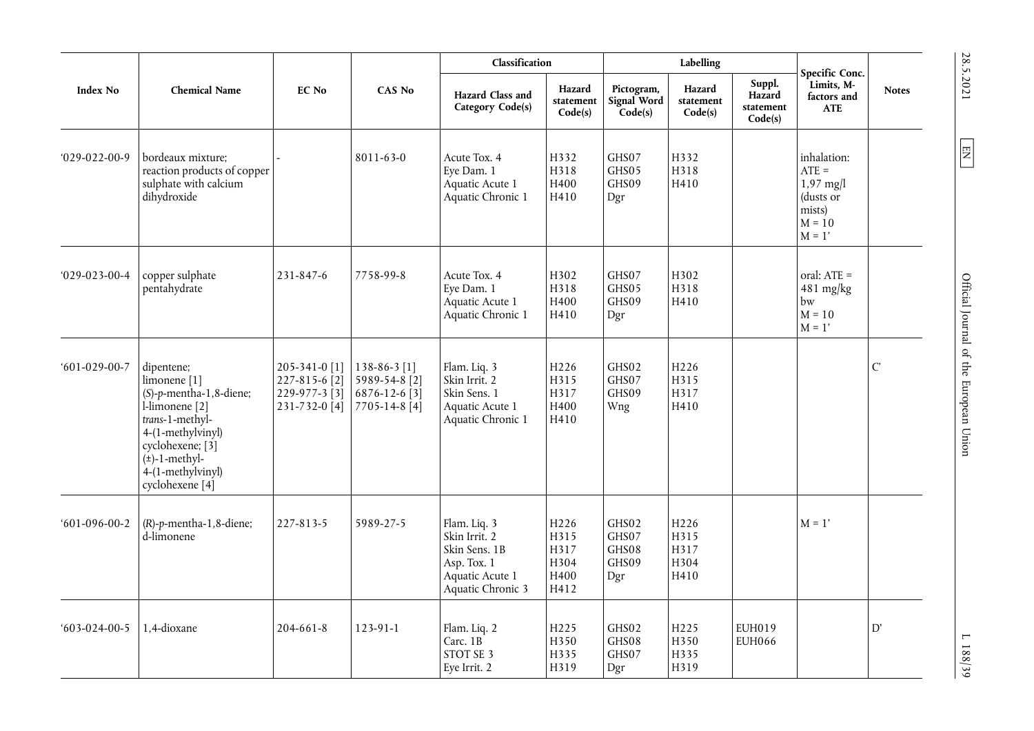|                      |                                                                                                                                                                                                                            |                                                                  |                                                                 | Classification                                                                                        |                                                  |                                         | Labelling                                |                                          | Specific Conc.                                                                       |                |
|----------------------|----------------------------------------------------------------------------------------------------------------------------------------------------------------------------------------------------------------------------|------------------------------------------------------------------|-----------------------------------------------------------------|-------------------------------------------------------------------------------------------------------|--------------------------------------------------|-----------------------------------------|------------------------------------------|------------------------------------------|--------------------------------------------------------------------------------------|----------------|
| <b>Index No</b>      | <b>Chemical Name</b>                                                                                                                                                                                                       | EC No                                                            | <b>CAS No</b>                                                   | Hazard Class and<br>Category Code(s)                                                                  | Hazard<br>statement<br>Code(s)                   | Pictogram,<br>Signal Word<br>Code(s)    | Hazard<br>statement<br>Code(s)           | Suppl.<br>Hazard<br>statement<br>Code(s) | Limits, M-<br>factors and<br><b>ATE</b>                                              | <b>Notes</b>   |
| $029-022-00-9$       | bordeaux mixture;<br>reaction products of copper<br>sulphate with calcium<br>dihydroxide                                                                                                                                   |                                                                  | 8011-63-0                                                       | Acute Tox. 4<br>Eye Dam. 1<br>Aquatic Acute 1<br>Aquatic Chronic 1                                    | H332<br>H318<br>H400<br>H410                     | GHS07<br>GHS05<br>GHS09<br>Dgr          | H332<br>H318<br>H410                     |                                          | inhalation:<br>$ATE =$<br>$1,97$ mg/l<br>(dusts or<br>mists)<br>$M = 10$<br>$M = 1'$ |                |
| $029 - 023 - 00 - 4$ | copper sulphate<br>pentahydrate                                                                                                                                                                                            | 231-847-6                                                        | 7758-99-8                                                       | Acute Tox. 4<br>Eye Dam. 1<br>Aquatic Acute 1<br>Aquatic Chronic 1                                    | H302<br>H318<br>H400<br>H410                     | GHS07<br>GHS05<br>GHS09<br>Dgr          | H302<br>H318<br>H410                     |                                          | oral: $ATE =$<br>481 mg/kg<br>bw<br>$M = 10$<br>$M = 1'$                             |                |
| $601-029-00-7$       | dipentene;<br>limonene <sup>[1]</sup><br>$(S)-p$ -mentha-1,8-diene;<br>1-limonene [2]<br>trans-1-methyl-<br>4-(1-methylvinyl)<br>cyclohexene; [3]<br>$(\pm)$ -1-methyl-<br>4-(1-methylvinyl)<br>cyclohexene <sup>[4]</sup> | 205-341-0 [1]<br>227-815-6 [2]<br>229-977-3 [3]<br>231-732-0 [4] | 138-86-3 [1]<br>5989-54-8 [2]<br>6876-12-6 [3]<br>7705-14-8 [4] | Flam. Liq. 3<br>Skin Irrit. 2<br>Skin Sens. 1<br>Aquatic Acute 1<br>Aquatic Chronic 1                 | H <sub>226</sub><br>H315<br>H317<br>H400<br>H410 | GHS02<br>GHS07<br>GHS09<br>Wng          | H226<br>H315<br>H317<br>H410             |                                          |                                                                                      | $\mathcal{C}'$ |
| $'601-096-00-2$      | $(R)-p$ -mentha-1,8-diene;<br>d-limonene                                                                                                                                                                                   | 227-813-5                                                        | 5989-27-5                                                       | Flam. Liq. 3<br>Skin Irrit. 2<br>Skin Sens. 1B<br>Asp. Tox. 1<br>Aquatic Acute 1<br>Aquatic Chronic 3 | H226<br>H315<br>H317<br>H304<br>H400<br>H412     | GHS02<br>GHS07<br>GHS08<br>GHS09<br>Dgr | H226<br>H315<br>H317<br>H304<br>H410     |                                          | $M = 1'$                                                                             |                |
| $603-024-00-5$       | 1.4-dioxane                                                                                                                                                                                                                | $204 - 661 - 8$                                                  | $123 - 91 - 1$                                                  | Flam. Liq. 2<br>Carc. 1B<br>STOT SE 3<br>Eye Irrit. 2                                                 | H <sub>225</sub><br>H350<br>H335<br>H319         | GHS02<br>GHS08<br>GHS07<br>Dgr          | H <sub>225</sub><br>H350<br>H335<br>H319 | EUH019<br><b>EUH066</b>                  |                                                                                      | D'             |

28.5.2021  $\boxed{\text{EM}}$ 

SS.5.70011 L  $\overline{EN}$   $\overline{S}$  and  $\overline{S}$  and  $\overline{S}$  and  $\overline{S}$  are European Union 28.5.101 L 188/399 Official Journal of the European Union

 $L$  188/39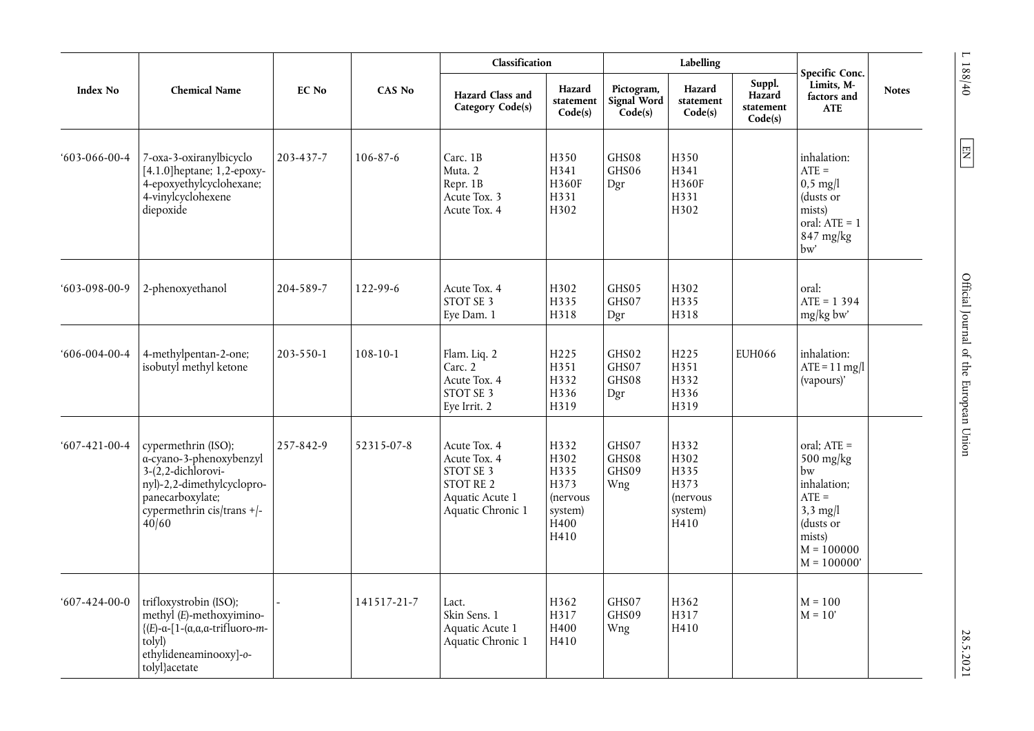|                      |                                                                                                                                                                     |              |                | Classification                                                                                        |                                                                     |                                      | Labelling                                                   |                                          | Specific Conc.                                                                                                                     |              |
|----------------------|---------------------------------------------------------------------------------------------------------------------------------------------------------------------|--------------|----------------|-------------------------------------------------------------------------------------------------------|---------------------------------------------------------------------|--------------------------------------|-------------------------------------------------------------|------------------------------------------|------------------------------------------------------------------------------------------------------------------------------------|--------------|
| Index No             | <b>Chemical Name</b>                                                                                                                                                | <b>EC No</b> | <b>CAS No</b>  | Hazard Class and<br>Category Code(s)                                                                  | Hazard<br>statement<br>Code(s)                                      | Pictogram,<br>Signal Word<br>Code(s) | Hazard<br>statement<br>Code(s)                              | Suppl.<br>Hazard<br>statement<br>Code(s) | Limits, M-<br>factors and<br><b>ATE</b>                                                                                            | <b>Notes</b> |
| $603-066-00-4$       | 7-oxa-3-oxiranylbicyclo<br>[4.1.0] heptane; 1,2-epoxy-<br>4-epoxyethylcyclohexane;<br>4-vinylcyclohexene<br>diepoxide                                               | 203-437-7    | $106 - 87 - 6$ | Carc. 1B<br>Muta. 2<br>Repr. 1B<br>Acute Tox. 3<br>Acute Tox. 4                                       | H350<br>H341<br>H360F<br>H331<br>H302                               | GHS08<br>GHS06<br>Dgr                | H350<br>H341<br>H360F<br>H331<br>H302                       |                                          | inhalation:<br>$ATE =$<br>$0,5$ mg/l<br>(dusts or<br>mists)<br>oral: $ATE = 1$<br>847 mg/kg<br>bw'                                 |              |
| $603-098-00-9$       | 2-phenoxyethanol                                                                                                                                                    | 204-589-7    | 122-99-6       | Acute Tox. 4<br>STOT SE 3<br>Eye Dam. 1                                                               | H302<br>H335<br>H318                                                | GHS05<br>GHS07<br>Dgr                | H302<br>H335<br>H318                                        |                                          | oral:<br>$ATE = 1394$<br>$mg/kg$ bw                                                                                                |              |
| $606-004-00-4$       | 4-methylpentan-2-one;<br>isobutyl methyl ketone                                                                                                                     | 203-550-1    | $108 - 10 - 1$ | Flam. Liq. 2<br>Carc. 2<br>Acute Tox. 4<br>STOT SE 3<br>Eye Irrit. 2                                  | H225<br>H351<br>H332<br>H336<br>H319                                | GHS02<br>GHS07<br>GHS08<br>Dgr       | H225<br>H351<br>H332<br>H336<br>H319                        | <b>EUH066</b>                            | inhalation:<br>$ATE = 11$ mg/l<br>(vapours)'                                                                                       |              |
| $607 - 421 - 00 - 4$ | cypermethrin (ISO);<br>a-cyano-3-phenoxybenzyl<br>$3-(2,2$ -dichlorovi-<br>nyl)-2,2-dimethylcyclopro-<br>panecarboxylate;<br>cypermethrin cis/trans $+$ /-<br>40/60 | 257-842-9    | 52315-07-8     | Acute Tox. 4<br>Acute Tox. 4<br>STOT SE 3<br><b>STOT RE 2</b><br>Aquatic Acute 1<br>Aquatic Chronic 1 | H332<br>H302<br>H335<br>H373<br>(nervous<br>system)<br>H400<br>H410 | GHS07<br>GHS08<br>GHS09<br>Wng       | H332<br>H302<br>H335<br>H373<br>(nervous<br>system)<br>H410 |                                          | oral; $ATE =$<br>$500$ mg/kg<br>bw<br>inhalation;<br>$ATE =$<br>$3,3$ mg/l<br>(dusts or<br>mists)<br>$M = 100000$<br>$M = 100000'$ |              |
| $607 - 424 - 00 - 0$ | trifloxystrobin (ISO);<br>methyl (E)-methoxyimino-<br>${E}-a-[1-(\alpha,\alpha,\alpha-trifluoro-m-$<br>tolyl)<br>ethylideneaminooxy]-o-<br>tolyl}acetate            |              | 141517-21-7    | Lact.<br>Skin Sens. 1<br>Aquatic Acute 1<br>Aquatic Chronic 1                                         | H362<br>H317<br>H400<br>H410                                        | GHS07<br>GHS09<br>Wng                | H362<br>H317<br>H410                                        |                                          | $M = 100$<br>$M = 10'$                                                                                                             |              |

 $L$  188/40  $\,$ 

 $\boxed{\text{N} }$ 

28.5.2021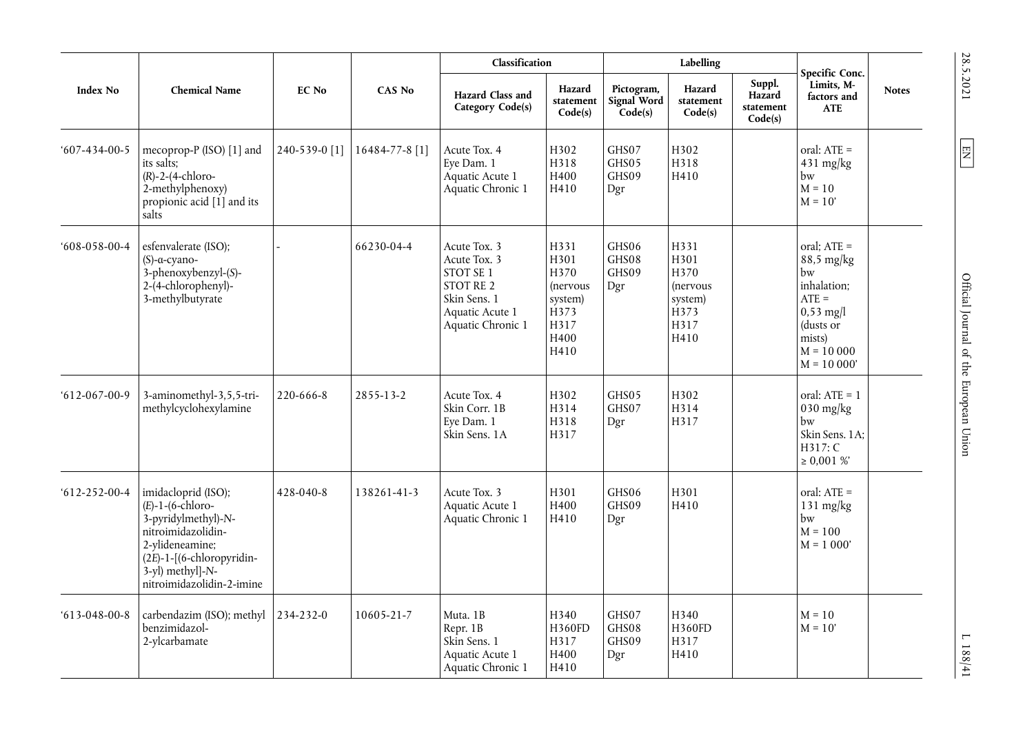|                      |                                                                                                                                                                                              |               |                | Classification                                                                                                 |                                                                                                |                                      | Labelling                                                                                |                                          | Specific Conc.                                                                                                                   |              |
|----------------------|----------------------------------------------------------------------------------------------------------------------------------------------------------------------------------------------|---------------|----------------|----------------------------------------------------------------------------------------------------------------|------------------------------------------------------------------------------------------------|--------------------------------------|------------------------------------------------------------------------------------------|------------------------------------------|----------------------------------------------------------------------------------------------------------------------------------|--------------|
| <b>Index No</b>      | <b>Chemical Name</b>                                                                                                                                                                         | <b>EC</b> No  | CAS No         | Hazard Class and<br>Category Code(s)                                                                           | Hazard<br>statement<br>Code(s)                                                                 | Pictogram,<br>Signal Word<br>Code(s) | Hazard<br>statement<br>Code(s)                                                           | Suppl.<br>Hazard<br>statement<br>Code(s) | Limits, M-<br>factors and<br><b>ATE</b>                                                                                          | <b>Notes</b> |
| $607 - 434 - 00 - 5$ | mecoprop-P (ISO) [1] and<br>its salts:<br>$(R)-2-(4-chloro-$<br>2-methylphenoxy)<br>propionic acid [1] and its<br>salts                                                                      | 240-539-0 [1] | 16484-77-8 [1] | Acute Tox. 4<br>Eye Dam. 1<br>Aquatic Acute 1<br>Aquatic Chronic 1                                             | H302<br>H318<br>H400<br>H410                                                                   | GHS07<br>GHS05<br>GHS09<br>Dgr       | H302<br>H318<br>H410                                                                     |                                          | oral: ATE =<br>$431$ mg/kg<br>bw<br>$M = 10$<br>$M = 10'$                                                                        |              |
| $608 - 058 - 00 - 4$ | esfenvalerate (ISO);<br>$(S)$ -a-cyano-<br>$3$ -phenoxybenzyl- $(S)$ -<br>2-(4-chlorophenyl)-<br>3-methylbutyrate                                                                            |               | 66230-04-4     | Acute Tox. 3<br>Acute Tox. 3<br>STOT SE 1<br>STOT RE 2<br>Skin Sens. 1<br>Aquatic Acute 1<br>Aquatic Chronic 1 | H331<br>H301<br>H370<br><i>(nervous</i><br>system)<br>H <sub>373</sub><br>H317<br>H400<br>H410 | GHS06<br>GHS08<br>GHS09<br>Dgr       | H331<br>H301<br>H370<br><i>(nervous</i> )<br>system)<br>H <sub>373</sub><br>H317<br>H410 |                                          | oral; $ATE =$<br>88,5 mg/kg<br>bw<br>inhalation;<br>$ATE =$<br>$0,53$ mg/l<br>(dusts or<br>mists)<br>$M = 10000$<br>$M = 10000'$ |              |
| $612 - 067 - 00 - 9$ | 3-aminomethyl-3,5,5-tri-<br>methylcyclohexylamine                                                                                                                                            | 220-666-8     | 2855-13-2      | Acute Tox. 4<br>Skin Corr. 1B<br>Eye Dam. 1<br>Skin Sens. 1A                                                   | H302<br>H314<br>H318<br>H317                                                                   | GHS05<br>GHS07<br>Dgr                | H302<br>H314<br>H317                                                                     |                                          | oral: $ATE = 1$<br>$030$ mg/kg<br>bw<br>Skin Sens. 1A;<br>H317: C<br>$\geq 0.001 \%$                                             |              |
| $612 - 252 - 00 - 4$ | imidacloprid (ISO);<br>$(E)$ -1- $(6$ -chloro-<br>3-pyridylmethyl)-N-<br>nitroimidazolidin-<br>2-ylideneamine;<br>(2E)-1-[(6-chloropyridin-<br>3-yl) methyl]-N-<br>nitroimidazolidin-2-imine | 428-040-8     | 138261-41-3    | Acute Tox. 3<br>Aquatic Acute 1<br>Aquatic Chronic 1                                                           | H301<br>H400<br>H410                                                                           | GHS06<br>GHS09<br>Dgr                | H301<br>H410                                                                             |                                          | oral: ATE =<br>$131 \text{ mg/kg}$<br>bw<br>$M = 100$<br>$M = 1000'$                                                             |              |
| $613 - 048 - 00 - 8$ | carbendazim (ISO); methyl<br>benzimidazol-<br>2-ylcarbamate                                                                                                                                  | 234-232-0     | 10605-21-7     | Muta. 1B<br>Repr. 1B<br>Skin Sens. 1<br>Aquatic Acute 1<br>Aquatic Chronic 1                                   | H340<br><b>H360FD</b><br>H317<br>H400<br>H410                                                  | GHS07<br>GHS08<br>GHS09<br>Dgr       | H340<br><b>H360FD</b><br>H317<br>H410                                                    |                                          | $M = 10$<br>$M = 10'$                                                                                                            |              |

28.5.2021  $\boxed{\text{EM}}$ 

SS.5.7011 L  $\overline{EN}$  L 188/41 L 188/41 Official Journal of the European Union

 $L$  188/41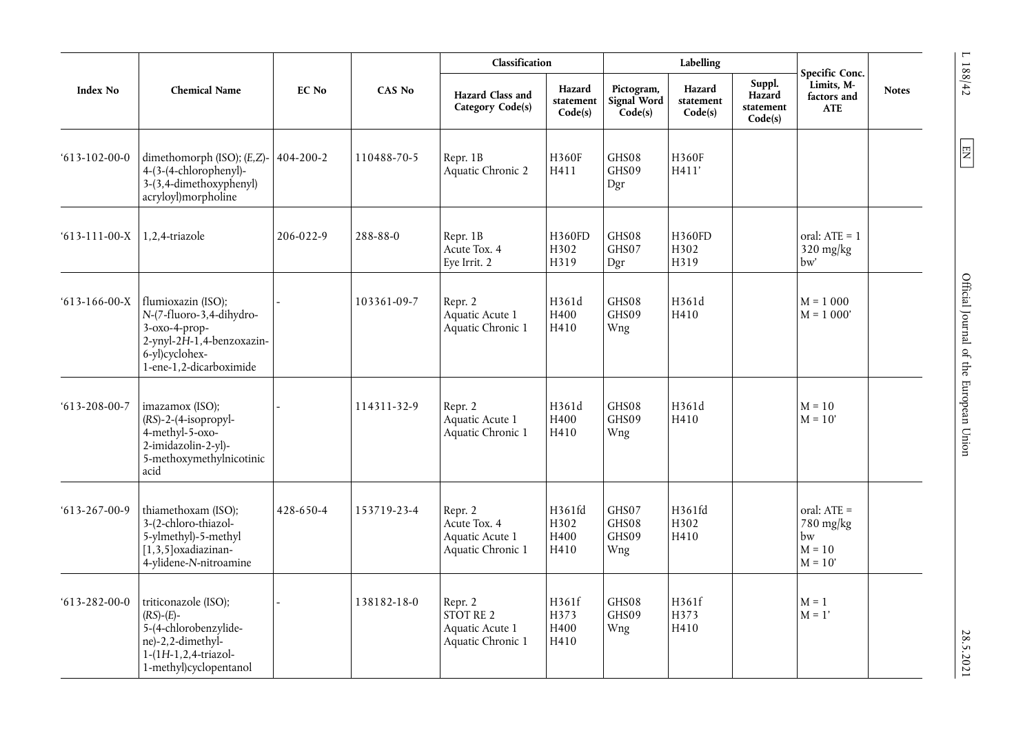| <b>Index No</b>      | <b>Chemical Name</b>                                                                                                                                          | <b>EC No</b>    | <b>CAS No</b> | Classification                                                  |                                | Labelling                            |                                |                                          |                                                           |              |
|----------------------|---------------------------------------------------------------------------------------------------------------------------------------------------------------|-----------------|---------------|-----------------------------------------------------------------|--------------------------------|--------------------------------------|--------------------------------|------------------------------------------|-----------------------------------------------------------|--------------|
|                      |                                                                                                                                                               |                 |               | Hazard Class and<br>Category Code(s)                            | Hazard<br>statement<br>Code(s) | Pictogram,<br>Signal Word<br>Code(s) | Hazard<br>statement<br>Code(s) | Suppl.<br>Hazard<br>statement<br>Code(s) | Specific Conc.<br>Limits, M-<br>factors and<br><b>ATE</b> | <b>Notes</b> |
| $613 - 102 - 00 - 0$ | dimethomorph (ISO); (E,Z)-<br>4-(3-(4-chlorophenyl)-<br>3-(3,4-dimethoxyphenyl)<br>acryloyl)morpholine                                                        | $404 - 200 - 2$ | 110488-70-5   | Repr. 1B<br>Aquatic Chronic 2                                   | H360F<br>H411                  | GHS08<br>GHS09<br>Dgr                | H360F<br>H411'                 |                                          |                                                           |              |
| $613 - 111 - 00 - X$ | 1,2,4-triazole                                                                                                                                                | 206-022-9       | 288-88-0      | Repr. 1B<br>Acute Tox. 4<br>Eye Irrit. 2                        | H360FD<br>H302<br>H319         | GHS08<br>GHS07<br>Dgr                | H360FD<br>H302<br>H319         |                                          | oral: $ATE = 1$<br>$320$ mg/kg<br>bw'                     |              |
| $613-166-00-X$       | flumioxazin (ISO);<br>N-(7-fluoro-3,4-dihydro-<br>$3-0x0-4-prop-$<br>$2$ -ynyl- $2\overline{H}$ -1,4-benzoxazin-<br>6-yl)cyclohex-<br>1-ene-1,2-dicarboximide |                 | 103361-09-7   | Repr. 2<br>Aquatic Acute 1<br>Aquatic Chronic 1                 | H361d<br>H400<br>H410          | GHS08<br>GHS09<br>Wng                | H361d<br>H410                  |                                          | $M = 1000$<br>$M = 1000'$                                 |              |
| $613 - 208 - 00 - 7$ | imazamox (ISO);<br>$(RS)-2-(4-isopropyl-$<br>4-methyl-5-oxo-<br>2-imidazolin-2-yl)-<br>5-methoxymethylnicotinic<br>acid                                       |                 | 114311-32-9   | Repr. 2<br>Aquatic Acute 1<br>Aquatic Chronic 1                 | H361d<br>H400<br>H410          | GHS08<br>GHS09<br>Wng                | H361d<br>H410                  |                                          | $M = 10$<br>$M = 10'$                                     |              |
| $613 - 267 - 00 - 9$ | thiamethoxam (ISO);<br>3-(2-chloro-thiazol-<br>5-ylmethyl)-5-methyl<br>$[1,3,5]$ oxadiazinan-<br>4-ylidene-N-nitroamine                                       | 428-650-4       | 153719-23-4   | Repr. 2<br>Acute Tox. 4<br>Aquatic Acute 1<br>Aquatic Chronic 1 | H361fd<br>H302<br>H400<br>H410 | GHS07<br>GHS08<br>GHS09<br>Wng       | H361fd<br>H302<br>H410         |                                          | oral: ATE =<br>$780$ mg/kg<br>bw<br>$M = 10$<br>$M = 10'$ |              |
| $613 - 282 - 00 - 0$ | triticonazole (ISO);<br>$(RS)-(E)$ -<br>5-(4-chlorobenzylide-<br>ne)-2,2-dimethyl-<br>1-(1H-1,2,4-triazol-<br>1-methyl)cyclopentanol                          |                 | 138182-18-0   | Repr. 2<br>STOT RE 2<br>Aquatic Acute 1<br>Aquatic Chronic 1    | H361f<br>H373<br>H400<br>H410  | GHS08<br>GHS09<br>Wng                | H361f<br>H373<br>H410          |                                          | $M = 1$<br>$M = 1'$                                       |              |

 $L$  188/42  $\,$